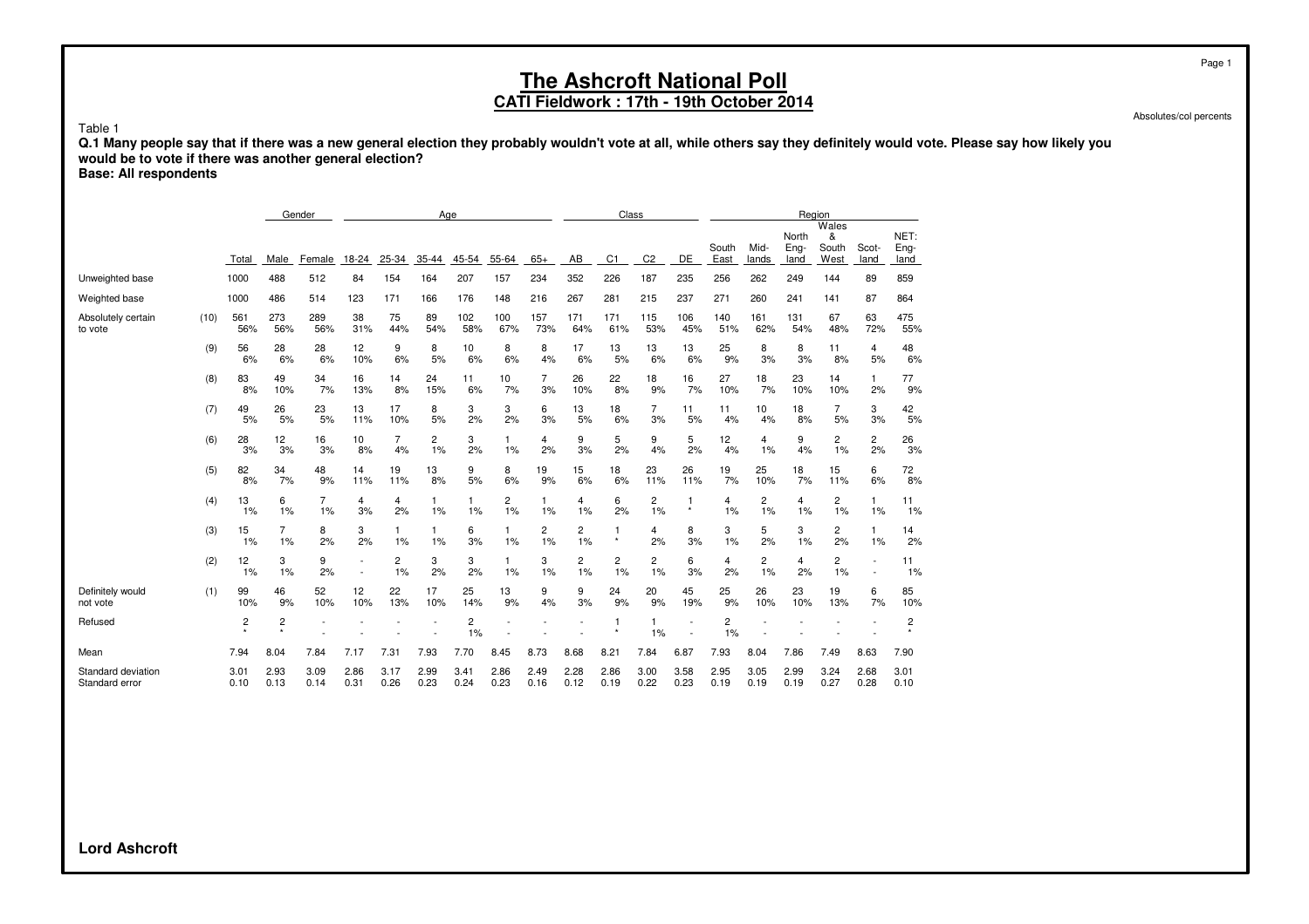### **CATI Fieldwork : 17th - 19th October 2014**

Absolutes/col percents

**Q.1 Many people say that if there was a new general election they probably wouldn't vote at all, while others say they definitely would vote. Please say how likely you would be to vote if there was another general election?**

**Base: All respondents**

Table 1

|                                      |      |              |              | Gender               | Age                      |                      |              |              |                    |                    |              | Class          |                      |                                                      |               |                      |                       | Region                      |               |                      |
|--------------------------------------|------|--------------|--------------|----------------------|--------------------------|----------------------|--------------|--------------|--------------------|--------------------|--------------|----------------|----------------------|------------------------------------------------------|---------------|----------------------|-----------------------|-----------------------------|---------------|----------------------|
|                                      |      | Total        | Male         | Female               | 18-24                    | 25-34                | 35-44        | 45-54        | 55-64              | $65+$              | AB           | C <sub>1</sub> | C <sub>2</sub>       | DE                                                   | South<br>East | Mid-<br>lands        | North<br>Eng-<br>land | Wales<br>&<br>South<br>West | Scot-<br>land | NET:<br>Eng-<br>land |
| Unweighted base                      |      | 1000         | 488          | 512                  | 84                       | 154                  | 164          | 207          | 157                | 234                | 352          | 226            | 187                  | 235                                                  | 256           | 262                  | 249                   | 144                         | 89            | 859                  |
| Weighted base                        |      | 1000         | 486          | 514                  | 123                      | 171                  | 166          | 176          | 148                | 216                | 267          | 281            | 215                  | 237                                                  | 271           | 260                  | 241                   | 141                         | 87            | 864                  |
| Absolutely certain<br>to vote        | (10) | 561<br>56%   | 273<br>56%   | 289<br>56%           | 38<br>31%                | 75<br>44%            | 89<br>54%    | 102<br>58%   | 100<br>67%         | 157<br>73%         | 171<br>64%   | 171<br>61%     | 115<br>53%           | 106<br>45%                                           | 140<br>51%    | 161<br>62%           | 131<br>54%            | 67<br>48%                   | 63<br>72%     | 475<br>55%           |
|                                      | (9)  | 56<br>6%     | 28<br>6%     | 28<br>6%             | 12<br>10%                | 9<br>6%              | 8<br>5%      | 10<br>6%     | 8<br>6%            | 8<br>4%            | 17<br>6%     | 13<br>5%       | 13<br>6%             | 13<br>6%                                             | 25<br>9%      | 8<br>3%              | 8<br>3%               | 11<br>8%                    | 4<br>5%       | 48<br>6%             |
|                                      | (8)  | 83<br>8%     | 49<br>10%    | 34<br>7%             | 16<br>13%                | 14<br>8%             | 24<br>15%    | 11<br>6%     | 10<br>7%           | 7<br>3%            | 26<br>10%    | 22<br>8%       | 18<br>9%             | 16<br>7%                                             | 27<br>10%     | 18<br>7%             | 23<br>10%             | 14<br>10%                   | 1.<br>2%      | 77<br>9%             |
|                                      | (7)  | 49<br>5%     | 26<br>5%     | 23<br>5%             | 13<br>11%                | 17<br>10%            | 8<br>5%      | 3<br>2%      | 3<br>2%            | 6<br>3%            | 13<br>5%     | 18<br>6%       | $\overline{7}$<br>3% | 11<br>5%                                             | 11<br>4%      | 10<br>4%             | 18<br>8%              | $\overline{7}$<br>5%        | 3<br>3%       | 42<br>5%             |
|                                      | (6)  | 28<br>3%     | 12<br>3%     | 16<br>3%             | 10<br>8%                 | 7<br>4%              | 2<br>1%      | 3<br>2%      | $\mathbf{1}$<br>1% | 4<br>2%            | 9<br>3%      | 5<br>2%        | 9<br>4%              | 5<br>2%                                              | 12<br>4%      | 4<br>1%              | 9<br>4%               | 2<br>1%                     | 2<br>2%       | 26<br>3%             |
|                                      | (5)  | 82<br>8%     | 34<br>7%     | 48<br>9%             | 14<br>11%                | 19<br>11%            | 13<br>8%     | 9<br>5%      | 8<br>6%            | 19<br>9%           | 15<br>6%     | 18<br>6%       | 23<br>11%            | 26<br>11%                                            | 19<br>7%      | 25<br>10%            | 18<br>7%              | 15<br>11%                   | 6<br>6%       | 72<br>8%             |
|                                      | (4)  | 13<br>1%     | 6<br>1%      | $\overline{7}$<br>1% | 4<br>3%                  | 4<br>2%              | 1<br>1%      | 1.<br>1%     | 2<br>1%            | $\mathbf{1}$<br>1% | 4<br>1%      | 6<br>2%        | 2<br>1%              | $\mathbf{1}$<br>$\star$                              | 4<br>1%       | $\overline{2}$<br>1% | $\overline{4}$<br>1%  | $\overline{c}$<br>1%        | 1<br>1%       | 11<br>1%             |
|                                      | (3)  | 15<br>1%     | 7<br>1%      | 8<br>2%              | 3<br>2%                  | 1.<br>1%             | 1.<br>1%     | 6<br>3%      | $\mathbf{1}$<br>1% | 2<br>1%            | 2<br>1%      | 1<br>$\star$   | 4<br>2%              | 8<br>3%                                              | 3<br>1%       | 5<br>2%              | 3<br>1%               | 2<br>2%                     | 1.<br>1%      | 14<br>2%             |
|                                      | (2)  | 12<br>1%     | 3<br>1%      | 9<br>2%              | $\overline{\phantom{a}}$ | $\overline{c}$<br>1% | 3<br>2%      | 3<br>2%      | 1<br>1%            | 3<br>1%            | 2<br>1%      | 2<br>1%        | 2<br>1%              | 6<br>3%                                              | 4<br>2%       | $\overline{c}$<br>1% | 4<br>2%               | 2<br>1%                     |               | 11<br>1%             |
| Definitely would<br>not vote         | (1)  | 99<br>10%    | 46<br>9%     | 52<br>10%            | 12<br>10%                | 22<br>13%            | 17<br>10%    | 25<br>14%    | 13<br>9%           | 9<br>4%            | 9<br>3%      | 24<br>9%       | 20<br>9%             | 45<br>19%                                            | 25<br>9%      | 26<br>10%            | 23<br>10%             | 19<br>13%                   | 6<br>7%       | 85<br>10%            |
| Refused                              |      | 2            | 2<br>$\star$ |                      |                          |                      |              | 2<br>1%      |                    |                    |              |                | 1<br>1%              | $\overline{\phantom{a}}$<br>$\overline{\phantom{a}}$ | 2<br>1%       |                      |                       |                             |               | 2                    |
| Mean                                 |      | 7.94         | 8.04         | 7.84                 | 7.17                     | 7.31                 | 7.93         | 7.70         | 8.45               | 8.73               | 8.68         | 8.21           | 7.84                 | 6.87                                                 | 7.93          | 8.04                 | 7.86                  | 7.49                        | 8.63          | 7.90                 |
| Standard deviation<br>Standard error |      | 3.01<br>0.10 | 2.93<br>0.13 | 3.09<br>0.14         | 2.86<br>0.31             | 3.17<br>0.26         | 2.99<br>0.23 | 3.41<br>0.24 | 2.86<br>0.23       | 2.49<br>0.16       | 2.28<br>0.12 | 2.86<br>0.19   | 3.00<br>0.22         | 3.58<br>0.23                                         | 2.95<br>0.19  | 3.05<br>0.19         | 2.99<br>0.19          | 3.24<br>0.27                | 2.68<br>0.28  | 3.01<br>0.10         |

**Lord Ashcroft**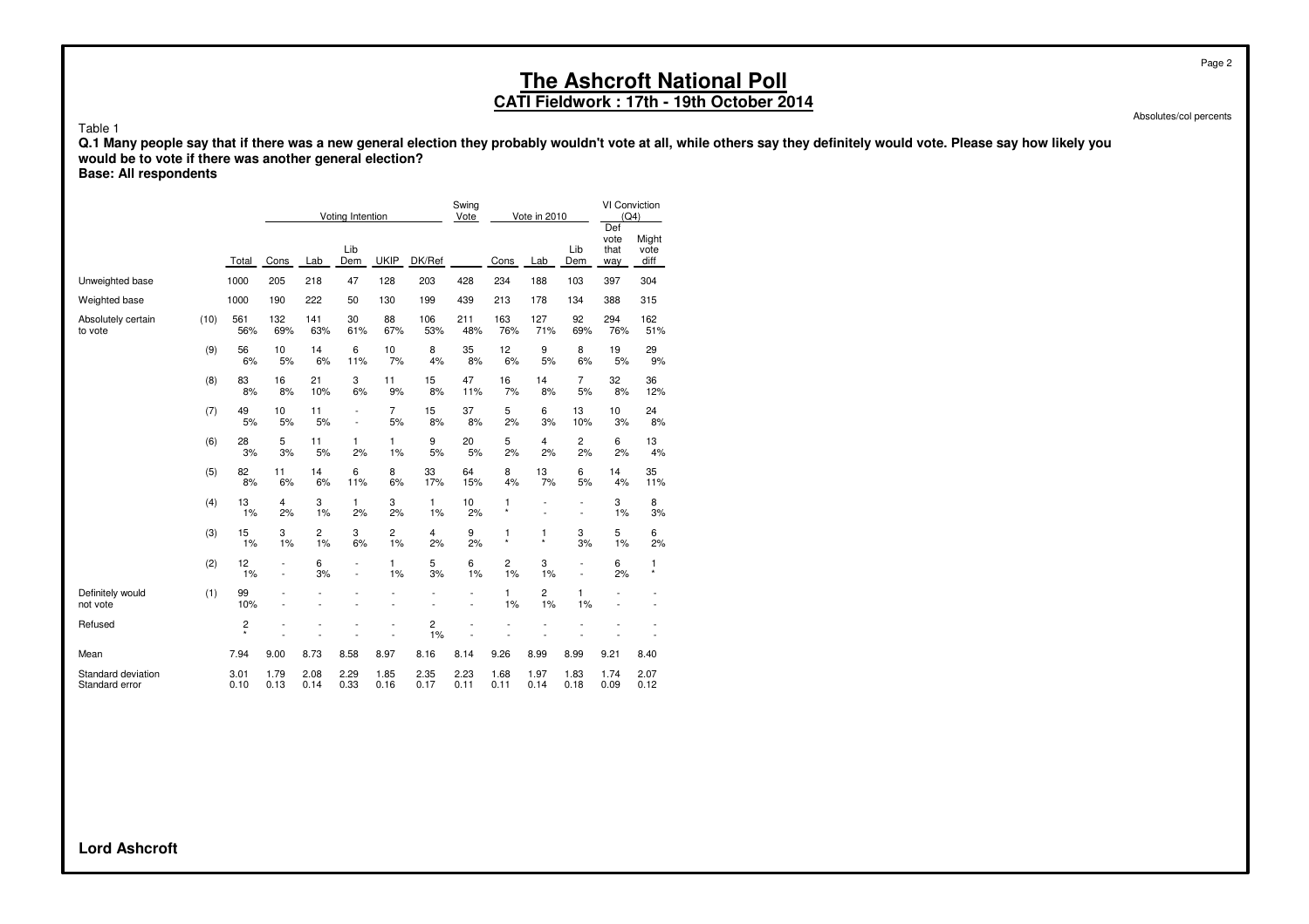### **CATI Fieldwork : 17th - 19th October 2014**

Absolutes/col percents

Page 2

Table 1

**Q.1 Many people say that if there was a new general election they probably wouldn't vote at all, while others say they definitely would vote. Please say how likely you would be to vote if there was another general election?**

**Base: All respondents**

|                                      |      |              |                |                      | Voting Intention                           |                      |                      | Swing<br>Vote            |               | Vote in 2010 |                                                      | VI Conviction<br>(Q4)      |                          |
|--------------------------------------|------|--------------|----------------|----------------------|--------------------------------------------|----------------------|----------------------|--------------------------|---------------|--------------|------------------------------------------------------|----------------------------|--------------------------|
|                                      |      | Total        | Cons           | Lab                  | Lib<br>Dem                                 | <b>UKIP</b>          | DK/Ref               |                          | Cons          | Lab          | Lib<br>Dem                                           | Def<br>vote<br>that<br>way | Might<br>vote<br>diff    |
| Unweighted base                      |      | 1000         | 205            | 218                  | 47                                         | 128                  | 203                  | 428                      | 234           | 188          | 103                                                  | 397                        | 304                      |
| Weighted base                        |      | 1000         | 190            | 222                  | 50                                         | 130                  | 199                  | 439                      | 213           | 178          | 134                                                  | 388                        | 315                      |
| Absolutely certain<br>to vote        | (10) | 561<br>56%   | 132<br>69%     | 141<br>63%           | 30<br>61%                                  | 88<br>67%            | 106<br>53%           | 211<br>48%               | 163<br>76%    | 127<br>71%   | 92<br>69%                                            | 294<br>76%                 | 162<br>51%               |
|                                      | (9)  | 56<br>6%     | 10<br>5%       | 14<br>6%             | 6<br>11%                                   | 10<br>7%             | 8<br>4%              | 35<br>8%                 | 12<br>6%      | 9<br>5%      | 8<br>6%                                              | 19<br>5%                   | 29<br>9%                 |
|                                      | (8)  | 83<br>8%     | 16<br>8%       | 21<br>10%            | 3<br>6%                                    | 11<br>9%             | 15<br>8%             | 47<br>11%                | 16<br>7%      | 14<br>8%     | $\overline{7}$<br>5%                                 | 32<br>8%                   | 36<br>12%                |
|                                      | (7)  | 49<br>5%     | 10<br>5%       | 11<br>5%             | $\overline{a}$<br>$\overline{\phantom{a}}$ | 7<br>5%              | 15<br>8%             | 37<br>8%                 | 5<br>2%       | 6<br>3%      | 13<br>10%                                            | 10<br>3%                   | 24<br>8%                 |
|                                      | (6)  | 28<br>3%     | 5<br>3%        | 11<br>5%             | 1<br>2%                                    | 1<br>1%              | 9<br>5%              | 20<br>5%                 | 5<br>2%       | 4<br>2%      | 2<br>2%                                              | 6<br>2%                    | 13<br>4%                 |
|                                      | (5)  | 82<br>8%     | 11<br>6%       | 14<br>6%             | 6<br>11%                                   | 8<br>6%              | 33<br>17%            | 64<br>15%                | 8<br>4%       | 13<br>7%     | 6<br>5%                                              | 14<br>4%                   | 35<br>11%                |
|                                      | (4)  | 13<br>1%     | 4<br>2%        | 3<br>1%              | 1<br>2%                                    | 3<br>2%              | 1<br>1%              | 10<br>2%                 | 1<br>$\star$  | ÷            | $\overline{a}$<br>٠                                  | 3<br>1%                    | 8<br>3%                  |
|                                      | (3)  | 15<br>1%     | 3<br>1%        | $\overline{2}$<br>1% | 3<br>6%                                    | $\overline{c}$<br>1% | $\overline{4}$<br>2% | 9<br>2%                  | 1<br>$^\star$ | 1<br>$\star$ | 3<br>3%                                              | 5<br>1%                    | 6<br>2%                  |
|                                      | (2)  | 12<br>1%     | $\overline{a}$ | 6<br>3%              |                                            | 1<br>1%              | 5<br>3%              | 6<br>1%                  | 2<br>1%       | 3<br>1%      | $\overline{\phantom{0}}$<br>$\overline{\phantom{a}}$ | 6<br>2%                    | 1<br>$\star$             |
| Definitely would<br>not vote         | (1)  | 99<br>10%    |                |                      |                                            | $\overline{a}$       |                      | $\overline{\phantom{a}}$ | 1<br>1%       | 2<br>1%      | 1<br>1%                                              |                            | $\overline{\phantom{a}}$ |
| Refused                              |      | 2<br>$\star$ |                |                      |                                            | L,                   | 2<br>1%              |                          |               |              |                                                      |                            |                          |
| Mean                                 |      | 7.94         | 9.00           | 8.73                 | 8.58                                       | 8.97                 | 8.16                 | 8.14                     | 9.26          | 8.99         | 8.99                                                 | 9.21                       | 8.40                     |
| Standard deviation<br>Standard error |      | 3.01<br>0.10 | 1.79<br>0.13   | 2.08<br>0.14         | 2.29<br>0.33                               | 1.85<br>0.16         | 2.35<br>0.17         | 2.23<br>0.11             | 1.68<br>0.11  | 1.97<br>0.14 | 1.83<br>0.18                                         | 1.74<br>0.09               | 2.07<br>0.12             |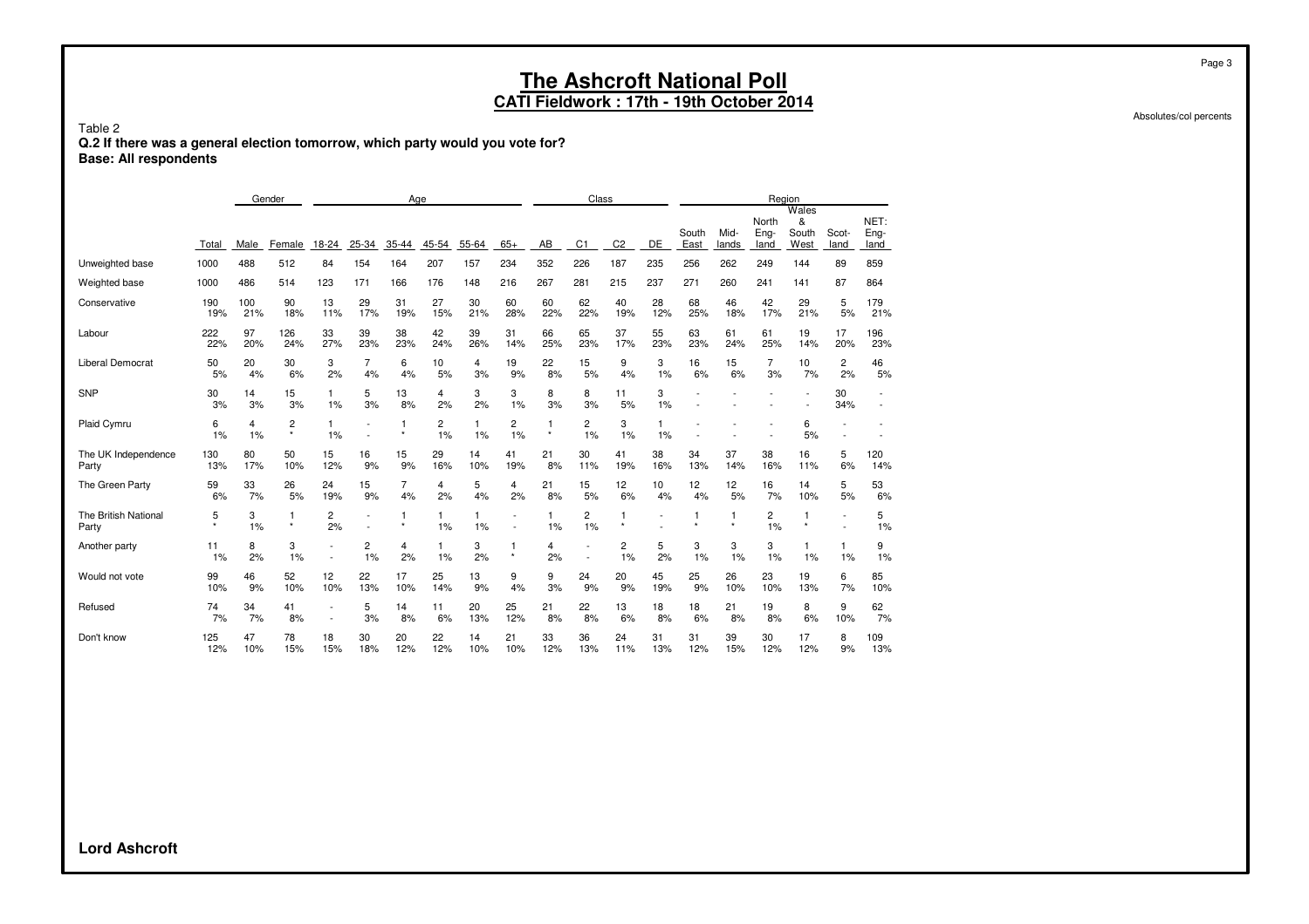**CATI Fieldwork : 17th - 19th October 2014**

Table 2 **Q.2 If there was a general election tomorrow, which party would you vote for? Base: All respondents**

|                               |              |            | Gender       |           |                          | Age       |           |           |                                                      |              | Class                    |                |           |               |               |                       | Region                      |                                                      |                      |
|-------------------------------|--------------|------------|--------------|-----------|--------------------------|-----------|-----------|-----------|------------------------------------------------------|--------------|--------------------------|----------------|-----------|---------------|---------------|-----------------------|-----------------------------|------------------------------------------------------|----------------------|
|                               | Total        | Male       | Female       | 18-24     | 25-34                    | $35 - 44$ | 45-54     | 55-64     | $65+$                                                | AB           | C <sub>1</sub>           | C <sub>2</sub> | DE        | South<br>East | Mid-<br>lands | North<br>Eng-<br>land | Wales<br>&<br>South<br>West | Scot-<br>land                                        | NET:<br>Eng-<br>land |
| Unweighted base               | 1000         | 488        | 512          | 84        | 154                      | 164       | 207       | 157       | 234                                                  | 352          | 226                      | 187            | 235       | 256           | 262           | 249                   | 144                         | 89                                                   | 859                  |
| Weighted base                 | 1000         | 486        | 514          | 123       | 171                      | 166       | 176       | 148       | 216                                                  | 267          | 281                      | 215            | 237       | 271           | 260           | 241                   | 141                         | 87                                                   | 864                  |
| Conservative                  | 190<br>19%   | 100<br>21% | 90<br>18%    | 13<br>11% | 29<br>17%                | 31<br>19% | 27<br>15% | 30<br>21% | 60<br>28%                                            | 60<br>22%    | 62<br>22%                | 40<br>19%      | 28<br>12% | 68<br>25%     | 46<br>18%     | 42<br>17%             | 29<br>21%                   | 5<br>5%                                              | 179<br>21%           |
| Labour                        | 222<br>22%   | 97<br>20%  | 126<br>24%   | 33<br>27% | 39<br>23%                | 38<br>23% | 42<br>24% | 39<br>26% | 31<br>14%                                            | 66<br>25%    | 65<br>23%                | 37<br>17%      | 55<br>23% | 63<br>23%     | 61<br>24%     | 61<br>25%             | 19<br>14%                   | 17<br>20%                                            | 196<br>23%           |
| Liberal Democrat              | 50<br>5%     | 20<br>4%   | 30<br>6%     | 3<br>2%   | 7<br>4%                  | 6<br>4%   | 10<br>5%  | 4<br>3%   | 19<br>9%                                             | 22<br>8%     | 15<br>5%                 | 9<br>4%        | 3<br>1%   | 16<br>6%      | 15<br>6%      | 7<br>3%               | 10<br>7%                    | 2<br>2%                                              | 46<br>5%             |
| <b>SNP</b>                    | 30<br>3%     | 14<br>3%   | 15<br>3%     | 1<br>1%   | 5<br>3%                  | 13<br>8%  | 4<br>2%   | 3<br>2%   | 3<br>1%                                              | 8<br>3%      | 8<br>3%                  | 11<br>5%       | 3<br>1%   |               |               |                       |                             | 30<br>34%                                            |                      |
| Plaid Cymru                   | 6<br>1%      | 4<br>1%    | 2<br>$\star$ | 1<br>1%   | $\overline{\phantom{a}}$ |           | 2<br>1%   | 1<br>1%   | 2<br>1%                                              | 1<br>$\star$ | 2<br>1%                  | 3<br>1%        | 1<br>1%   |               |               |                       | 6<br>5%                     |                                                      |                      |
| The UK Independence<br>Party  | 130<br>13%   | 80<br>17%  | 50<br>10%    | 15<br>12% | 16<br>9%                 | 15<br>9%  | 29<br>16% | 14<br>10% | 41<br>19%                                            | 21<br>8%     | 30<br>11%                | 41<br>19%      | 38<br>16% | 34<br>13%     | 37<br>14%     | 38<br>16%             | 16<br>11%                   | 5<br>6%                                              | 120<br>14%           |
| The Green Party               | 59<br>6%     | 33<br>7%   | 26<br>5%     | 24<br>19% | 15<br>9%                 | 7<br>4%   | 4<br>2%   | 5<br>4%   | 4<br>2%                                              | 21<br>8%     | 15<br>5%                 | 12<br>6%       | 10<br>4%  | 12<br>4%      | 12<br>5%      | 16<br>7%              | 14<br>10%                   | 5<br>5%                                              | 53<br>6%             |
| The British National<br>Party | 5<br>$\star$ | 3<br>1%    | 1<br>$\star$ | 2<br>2%   | $\overline{\phantom{a}}$ |           | 1<br>1%   | 1<br>1%   | $\overline{\phantom{a}}$<br>$\overline{\phantom{a}}$ | 1<br>1%      | 2<br>1%                  | $\star$        |           | 1<br>$\star$  |               | 2<br>1%               | 1<br>$\star$                | $\overline{\phantom{a}}$<br>$\overline{\phantom{a}}$ | 5<br>1%              |
| Another party                 | 11<br>1%     | 8<br>2%    | 3<br>1%      |           | 2<br>1%                  | 4<br>2%   | 1<br>1%   | 3<br>2%   | $^\star$                                             | 4<br>2%      | $\overline{\phantom{a}}$ | 2<br>1%        | 5<br>2%   | 3<br>1%       | 3<br>1%       | 3<br>1%               | 1<br>1%                     | 1<br>1%                                              | 9<br>1%              |
| Would not vote                | 99<br>10%    | 46<br>9%   | 52<br>10%    | 12<br>10% | 22<br>13%                | 17<br>10% | 25<br>14% | 13<br>9%  | 9<br>4%                                              | 9<br>3%      | 24<br>9%                 | 20<br>9%       | 45<br>19% | 25<br>9%      | 26<br>10%     | 23<br>10%             | 19<br>13%                   | 6<br>7%                                              | 85<br>10%            |
| Refused                       | 74<br>7%     | 34<br>7%   | 41<br>8%     |           | 5<br>3%                  | 14<br>8%  | 11<br>6%  | 20<br>13% | 25<br>12%                                            | 21<br>8%     | 22<br>8%                 | 13<br>6%       | 18<br>8%  | 18<br>6%      | 21<br>8%      | 19<br>8%              | 8<br>6%                     | 9<br>10%                                             | 62<br>7%             |
| Don't know                    | 125<br>12%   | 47<br>10%  | 78<br>15%    | 18<br>15% | 30<br>18%                | 20<br>12% | 22<br>12% | 14<br>10% | 21<br>10%                                            | 33<br>12%    | 36<br>13%                | 24<br>11%      | 31<br>13% | 31<br>12%     | 39<br>15%     | 30<br>12%             | 17<br>12%                   | 8<br>9%                                              | 109<br>13%           |

Absolutes/col percents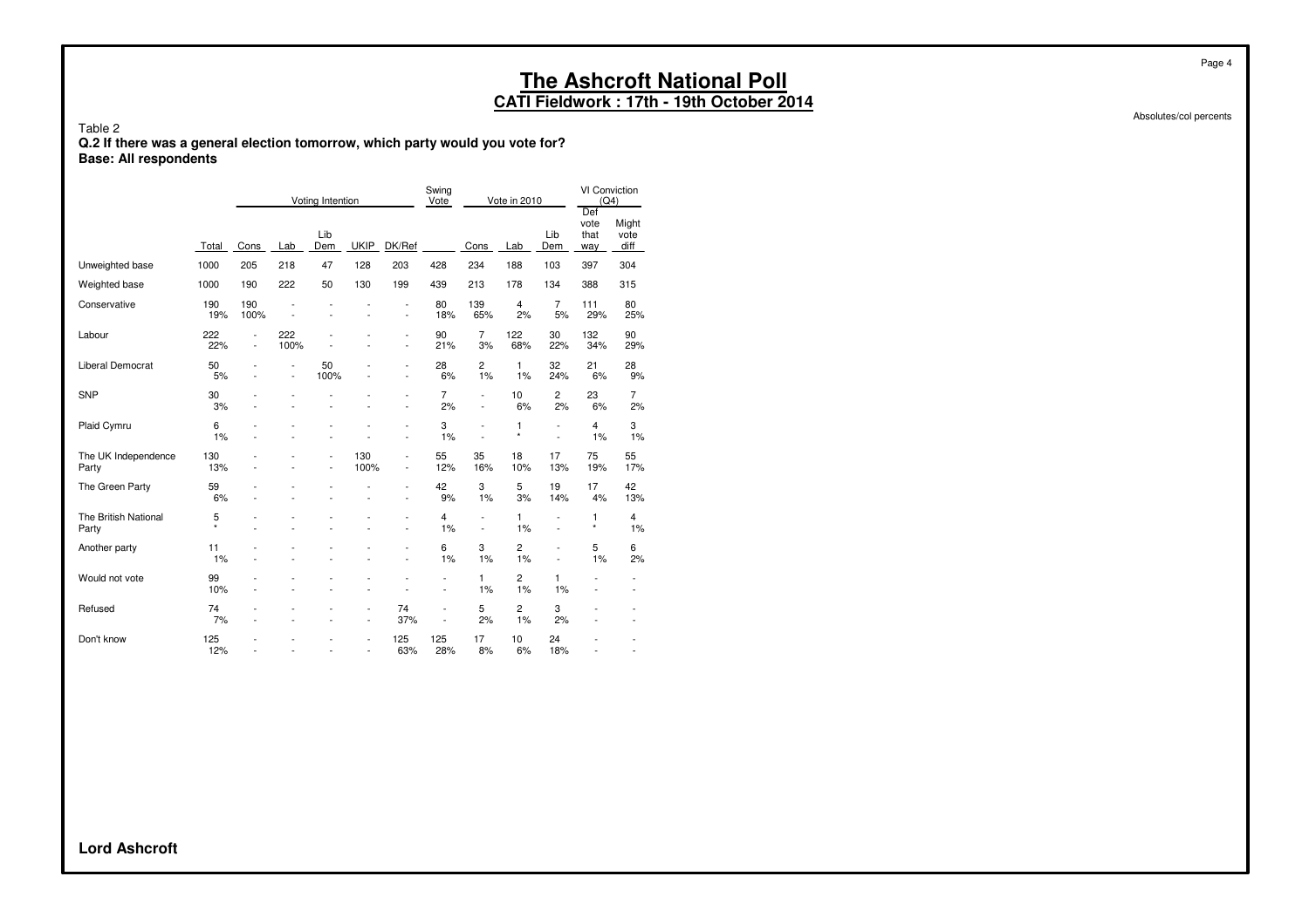**CATI Fieldwork : 17th - 19th October 2014**

Absolutes/col percents

Page 4

Table 2 **Q.2 If there was a general election tomorrow, which party would you vote for? Base: All respondents**

|                               |              |                                            |                      | Voting Intention |                                            |                                            | Swing<br>Vote                              |                                | Vote in 2010         |                      | <b>VI Conviction</b><br>(Q4)<br>Def |                       |
|-------------------------------|--------------|--------------------------------------------|----------------------|------------------|--------------------------------------------|--------------------------------------------|--------------------------------------------|--------------------------------|----------------------|----------------------|-------------------------------------|-----------------------|
|                               | Total        | Cons                                       | Lab                  | Lib<br>Dem       | <b>UKIP</b>                                | DK/Ref                                     |                                            | Cons                           | Lab                  | Lib<br>Dem           | vote<br>that<br>way                 | Might<br>vote<br>diff |
| Unweighted base               | 1000         | 205                                        | 218                  | 47               | 128                                        | 203                                        | 428                                        | 234                            | 188                  | 103                  | 397                                 | 304                   |
| Weighted base                 | 1000         | 190                                        | 222                  | 50               | 130                                        | 199                                        | 439                                        | 213                            | 178                  | 134                  | 388                                 | 315                   |
| Conservative                  | 190<br>19%   | 190<br>100%                                | $\overline{a}$       |                  | $\overline{a}$                             | ٠                                          | 80<br>18%                                  | 139<br>65%                     | 4<br>2%              | 7<br>5%              | 111<br>29%                          | 80<br>25%             |
| Labour                        | 222<br>22%   | $\overline{\phantom{a}}$<br>$\overline{a}$ | 222<br>100%          |                  |                                            | $\overline{a}$<br>$\overline{\phantom{a}}$ | 90<br>21%                                  | $\overline{7}$<br>3%           | 122<br>68%           | 30<br>22%            | 132<br>34%                          | 90<br>29%             |
| Liberal Democrat              | 50<br>5%     |                                            | L,<br>$\overline{a}$ | 50<br>100%       |                                            | $\overline{a}$                             | 28<br>6%                                   | $\overline{c}$<br>1%           | 1<br>1%              | 32<br>24%            | 21<br>6%                            | 28<br>9%              |
| <b>SNP</b>                    | 30<br>3%     |                                            |                      |                  |                                            |                                            | $\overline{7}$<br>2%                       | Ĭ.<br>$\overline{a}$           | 10<br>6%             | 2<br>2%              | 23<br>6%                            | $\overline{7}$<br>2%  |
| Plaid Cymru                   | 6<br>1%      |                                            |                      |                  |                                            | L,                                         | 3<br>1%                                    | J.<br>Ĭ.                       | 1<br>$\star$         | L,<br>$\overline{a}$ | $\overline{4}$<br>1%                | 3<br>1%               |
| The UK Independence<br>Party  | 130<br>13%   |                                            |                      | $\overline{a}$   | 130<br>100%                                | $\overline{a}$<br>٠                        | 55<br>12%                                  | 35<br>16%                      | 18<br>10%            | 17<br>13%            | 75<br>19%                           | 55<br>17%             |
| The Green Party               | 59<br>6%     |                                            |                      |                  |                                            | L,                                         | 42<br>9%                                   | 3<br>1%                        | 5<br>3%              | 19<br>14%            | 17<br>4%                            | 42<br>13%             |
| The British National<br>Party | 5<br>$\star$ |                                            |                      |                  |                                            | ٠                                          | 4<br>1%                                    | L,<br>$\overline{\phantom{a}}$ | 1<br>1%              | $\overline{a}$<br>÷  | 1<br>$\star$                        | 4<br>1%               |
| Another party                 | 11<br>1%     |                                            |                      |                  |                                            |                                            | 6<br>1%                                    | 3<br>1%                        | $\overline{c}$<br>1% | $\overline{a}$<br>L, | 5<br>1%                             | 6<br>2%               |
| Would not vote                | 99<br>10%    |                                            |                      |                  |                                            |                                            | $\overline{\phantom{a}}$<br>$\overline{a}$ | 1<br>1%                        | $\overline{2}$<br>1% | 1<br>1%              | $\overline{a}$<br>$\overline{a}$    | $\overline{a}$        |
| Refused                       | 74<br>7%     |                                            |                      |                  | $\overline{\phantom{a}}$<br>$\overline{a}$ | 74<br>37%                                  | $\overline{a}$<br>L,                       | 5<br>2%                        | $\overline{c}$<br>1% | 3<br>2%              | $\overline{a}$                      |                       |
| Don't know                    | 125<br>12%   |                                            | $\overline{a}$       |                  | ٠                                          | 125<br>63%                                 | 125<br>28%                                 | 17<br>8%                       | 10<br>6%             | 24<br>18%            | $\overline{a}$                      | $\overline{a}$        |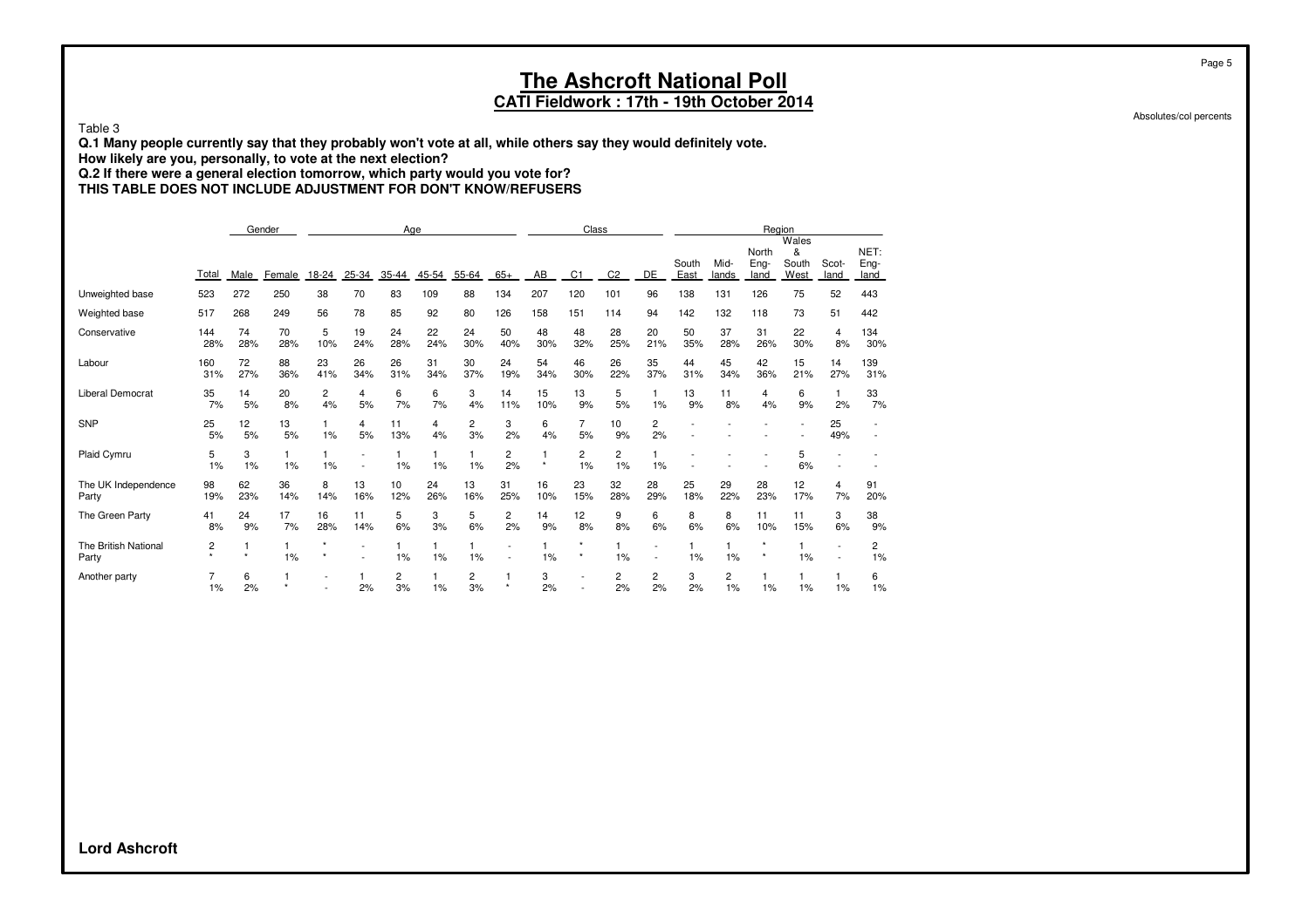**CATI Fieldwork : 17th - 19th October 2014**

Table 3

**Q.1 Many people currently say that they probably won't vote at all, while others say they would definitely vote.**

**How likely are you, personally, to vote at the next election?**

**Q.2 If there were a general election tomorrow, which party would you vote for?**

**THIS TABLE DOES NOT INCLUDE ADJUSTMENT FOR DON'T KNOW/REFUSERS**

|                               |              |           | Gender    |           |                                |           | Age       |           |           |           | Class                    |                      |                          |               |               | Region                |                             |                          |                      |
|-------------------------------|--------------|-----------|-----------|-----------|--------------------------------|-----------|-----------|-----------|-----------|-----------|--------------------------|----------------------|--------------------------|---------------|---------------|-----------------------|-----------------------------|--------------------------|----------------------|
|                               | Total        | Male      | Female    | 18-24     | 25-34                          | 35-44     | 45-54     | 55-64     | $65+$     | AB        | C <sub>1</sub>           | C <sub>2</sub>       | DE                       | South<br>East | Mid-<br>lands | North<br>Eng-<br>land | Wales<br>&<br>South<br>West | Scot-<br>land            | NET:<br>Eng-<br>land |
|                               |              | 272       | 250       | 38        | 70                             | 83        | 109       | 88        | 134       | 207       | 120                      | 101                  | 96                       | 138           | 131           | 126                   | 75                          | 52                       | 443                  |
| Unweighted base               | 523          |           |           |           |                                |           |           |           |           |           |                          |                      |                          |               |               |                       |                             |                          |                      |
| Weighted base                 | 517          | 268       | 249       | 56        | 78                             | 85        | 92        | 80        | 126       | 158       | 151                      | 114                  | 94                       | 142           | 132           | 118                   | 73                          | 51                       | 442                  |
| Conservative                  | 144<br>28%   | 74<br>28% | 70<br>28% | 5<br>10%  | 19<br>24%                      | 24<br>28% | 22<br>24% | 24<br>30% | 50<br>40% | 48<br>30% | 48<br>32%                | 28<br>25%            | 20<br>21%                | 50<br>35%     | 37<br>28%     | 31<br>26%             | 22<br>30%                   | 4<br>8%                  | 134<br>30%           |
| Labour                        | 160<br>31%   | 72<br>27% | 88<br>36% | 23<br>41% | 26<br>34%                      | 26<br>31% | 31<br>34% | 30<br>37% | 24<br>19% | 54<br>34% | 46<br>30%                | 26<br>22%            | 35<br>37%                | 44<br>31%     | 45<br>34%     | 42<br>36%             | 15<br>21%                   | 14<br>27%                | 139<br>31%           |
| <b>Liberal Democrat</b>       | 35<br>7%     | 14<br>5%  | 20<br>8%  | 2<br>4%   | 4<br>5%                        | 6<br>7%   | 6<br>7%   | 3<br>4%   | 14<br>11% | 15<br>10% | 13<br>9%                 | 5<br>5%              | 1%                       | 13<br>9%      | 11<br>8%      | 4<br>4%               | 6<br>9%                     | 1<br>2%                  | 33<br>7%             |
| <b>SNP</b>                    | 25<br>5%     | 12<br>5%  | 13<br>5%  | 1%        | 4<br>5%                        | 11<br>13% | 4<br>4%   | 2<br>3%   | 3<br>2%   | 6<br>4%   | 7<br>5%                  | 10<br>9%             | 2<br>2%                  |               |               |                       |                             | 25<br>49%                |                      |
| Plaid Cymru                   | 5<br>1%      | 3<br>1%   | 1<br>1%   | 1%        | $\overline{\phantom{0}}$<br>L, | 1%        | 1%        | 1%        | 2<br>2%   | $\star$   | 2<br>1%                  | $\overline{c}$<br>1% | 1%                       |               |               |                       | 5<br>6%                     |                          |                      |
| The UK Independence<br>Party  | 98<br>19%    | 62<br>23% | 36<br>14% | 8<br>14%  | 13<br>16%                      | 10<br>12% | 24<br>26% | 13<br>16% | 31<br>25% | 16<br>10% | 23<br>15%                | 32<br>28%            | 28<br>29%                | 25<br>18%     | 29<br>22%     | 28<br>23%             | 12<br>17%                   | 4<br>7%                  | 91<br>20%            |
| The Green Party               | 41<br>8%     | 24<br>9%  | 17<br>7%  | 16<br>28% | 11<br>14%                      | 5<br>6%   | 3<br>3%   | 5<br>6%   | 2<br>2%   | 14<br>9%  | 12<br>8%                 | 9<br>8%              | 6<br>6%                  | 8<br>6%       | 8<br>6%       | 11<br>10%             | 11<br>15%                   | 3<br>6%                  | 38<br>9%             |
| The British National<br>Party | 2<br>$\star$ | $\star$   | 1%        | $\star$   | $\overline{\phantom{0}}$       | 1%        | 1%        | 1%        |           | $1\%$     | $\star$<br>$\star$       | 1%                   | $\overline{\phantom{0}}$ | 1%            | 1%            |                       | 1<br>1%                     | $\overline{\phantom{a}}$ | 2<br>1%              |
| Another party                 | 1%           | 6<br>2%   |           |           | 2%                             | 2<br>3%   | 1%        | 2<br>3%   | $\star$   | 3<br>2%   | $\overline{\phantom{a}}$ | 2<br>2%              | 2<br>2%                  | 3<br>2%       | 2<br>1%       | 1%                    | 1%                          | $1\%$                    | 6<br>1%              |

Absolutes/col percents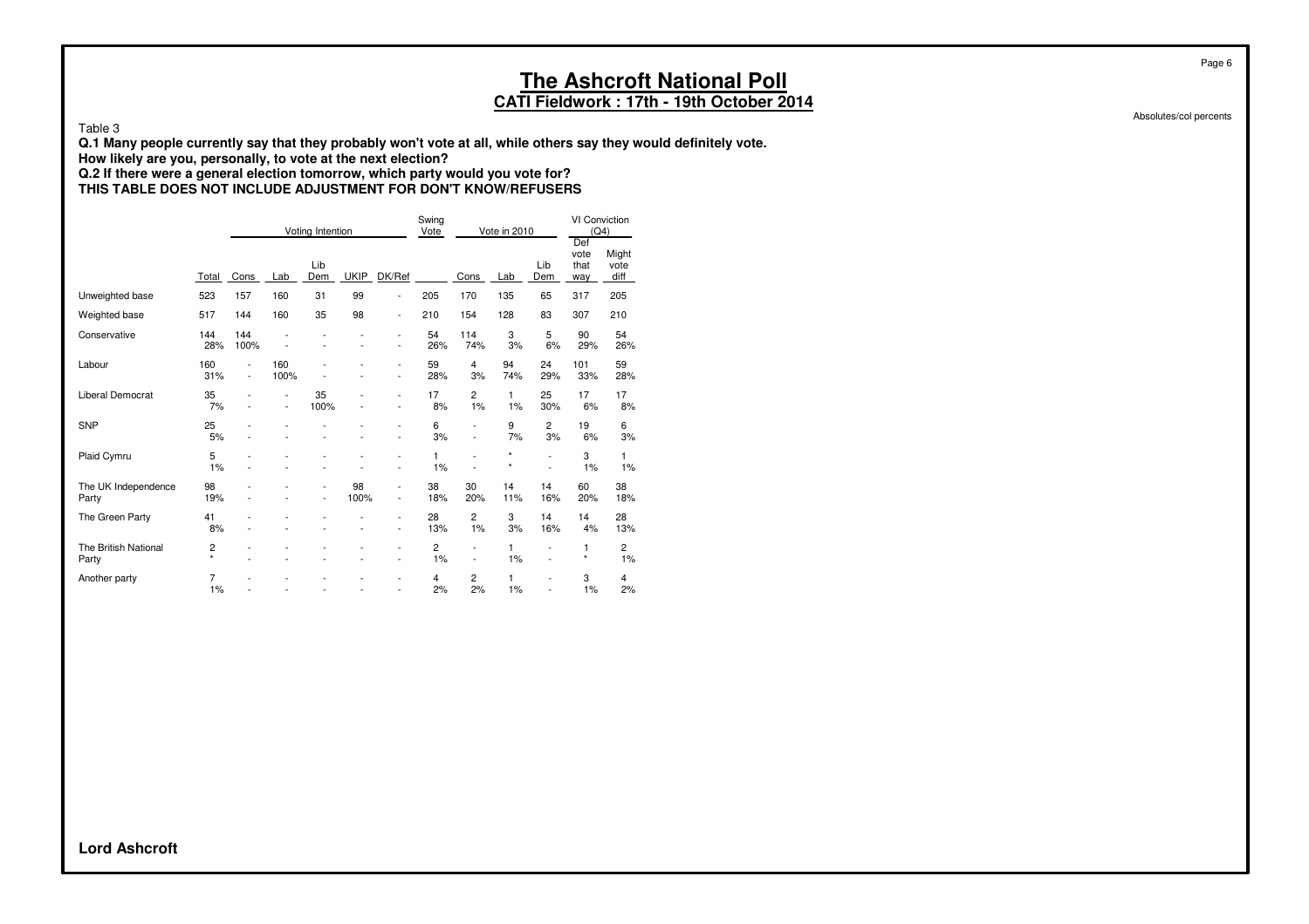#### **CATI Fieldwork : 17th - 19th October 2014**

Absolutes/col percents

Page 6

Table 3

**Q.1 Many people currently say that they probably won't vote at all, while others say they would definitely vote.**

**How likely are you, personally, to vote at the next election?**

#### **Q.2 If there were a general election tomorrow, which party would you vote for? THIS TABLE DOES NOT INCLUDE ADJUSTMENT FOR DON'T KNOW/REFUSERS**

|                               |              |                                            |                                  | Voting Intention                 |             |                                            | Swing<br>Vote |                                            | Vote in 2010       |                      | <b>VI Conviction</b><br>(Q4)<br>Def |                       |
|-------------------------------|--------------|--------------------------------------------|----------------------------------|----------------------------------|-------------|--------------------------------------------|---------------|--------------------------------------------|--------------------|----------------------|-------------------------------------|-----------------------|
|                               | Total        | Cons                                       | Lab                              | Lib<br>Dem                       | <b>UKIP</b> | DK/Ref                                     |               | Cons                                       | Lab                | Lib<br>Dem           | vote<br>that<br>way                 | Might<br>vote<br>diff |
| Unweighted base               | 523          | 157                                        | 160                              | 31                               | 99          | $\overline{\phantom{a}}$                   | 205           | 170                                        | 135                | 65                   | 317                                 | 205                   |
| Weighted base                 | 517          | 144                                        | 160                              | 35                               | 98          | $\overline{\phantom{a}}$                   | 210           | 154                                        | 128                | 83                   | 307                                 | 210                   |
| Conservative                  | 144<br>28%   | 144<br>100%                                |                                  |                                  |             | $\overline{a}$<br>$\overline{a}$           | 54<br>26%     | 114<br>74%                                 | 3<br>3%            | 5<br>6%              | 90<br>29%                           | 54<br>26%             |
| Labour                        | 160<br>31%   | $\overline{a}$<br>$\overline{\phantom{a}}$ | 160<br>100%                      |                                  |             | $\overline{a}$<br>$\overline{\phantom{a}}$ | 59<br>28%     | 4<br>3%                                    | 94<br>74%          | 24<br>29%            | 101<br>33%                          | 59<br>28%             |
| <b>Liberal Democrat</b>       | 35<br>7%     |                                            | $\overline{a}$<br>$\overline{a}$ | 35<br>100%                       |             | $\overline{a}$<br>٠                        | 17<br>8%      | 2<br>1%                                    | 1<br>1%            | 25<br>30%            | 17<br>6%                            | 17<br>8%              |
| <b>SNP</b>                    | 25<br>5%     |                                            |                                  |                                  |             | $\overline{a}$                             | 6<br>3%       | $\overline{a}$<br>$\overline{\phantom{a}}$ | 9<br>7%            | $\overline{2}$<br>3% | 19<br>6%                            | 6<br>3%               |
| Plaid Cymru                   | 5<br>1%      |                                            |                                  |                                  |             | -<br>$\overline{a}$                        | 1<br>1%       |                                            | $\star$<br>$\star$ |                      | 3<br>1%                             | 1<br>1%               |
| The UK Independence<br>Party  | 98<br>19%    |                                            |                                  | $\overline{a}$<br>$\overline{a}$ | 98<br>100%  | $\overline{a}$<br>$\overline{\phantom{a}}$ | 38<br>18%     | 30<br>20%                                  | 14<br>11%          | 14<br>16%            | 60<br>20%                           | 38<br>18%             |
| The Green Party               | 41<br>8%     |                                            |                                  |                                  | L,          | $\overline{a}$<br>٠                        | 28<br>13%     | 2<br>1%                                    | 3<br>3%            | 14<br>16%            | 14<br>4%                            | 28<br>13%             |
| The British National<br>Party | 2<br>$\star$ |                                            |                                  |                                  |             | $\overline{a}$<br>$\overline{a}$           | 2<br>1%       | $\overline{a}$<br>٠                        | 1<br>1%            | L,<br>L,             | 1<br>$\star$                        | $\overline{c}$<br>1%  |
| Another party                 | 7<br>1%      |                                            |                                  |                                  |             | $\overline{a}$<br>$\overline{a}$           | 4<br>2%       | 2<br>2%                                    | 1<br>1%            | L,<br>÷              | 3<br>1%                             | 4<br>2%               |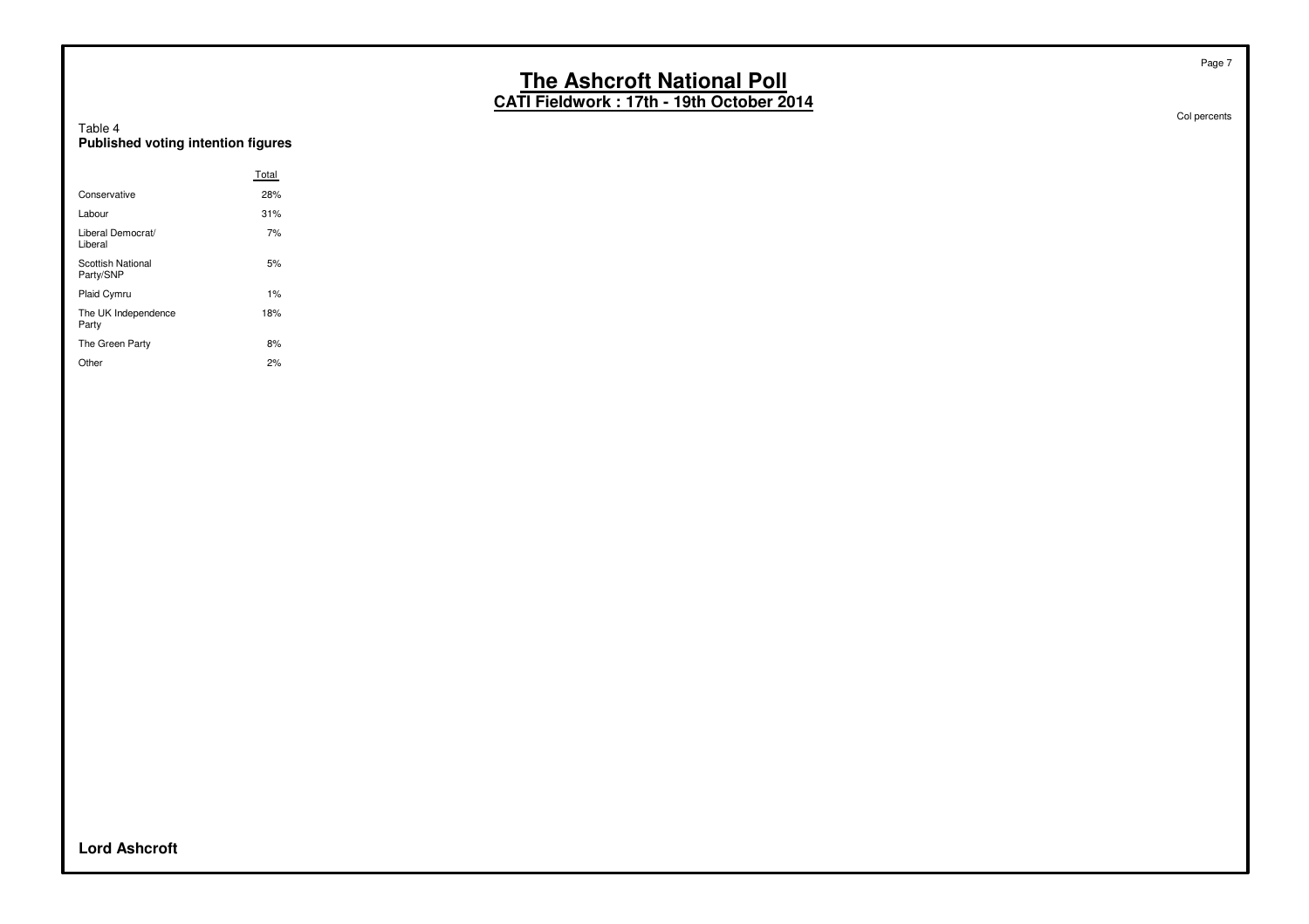**CATI Fieldwork : 17th - 19th October 2014**

| Table 4                            |  |  |
|------------------------------------|--|--|
| Published voting intention figures |  |  |

|                                | Total |
|--------------------------------|-------|
| Conservative                   | 28%   |
| Labour                         | 31%   |
| Liberal Democrat/<br>Liberal   | 7%    |
| Scottish National<br>Party/SNP | 5%    |
| <b>Plaid Cymru</b>             | 1%    |
| The UK Independence<br>Party   | 18%   |
| The Green Party                | 8%    |
| Other                          | 2%    |

Col percents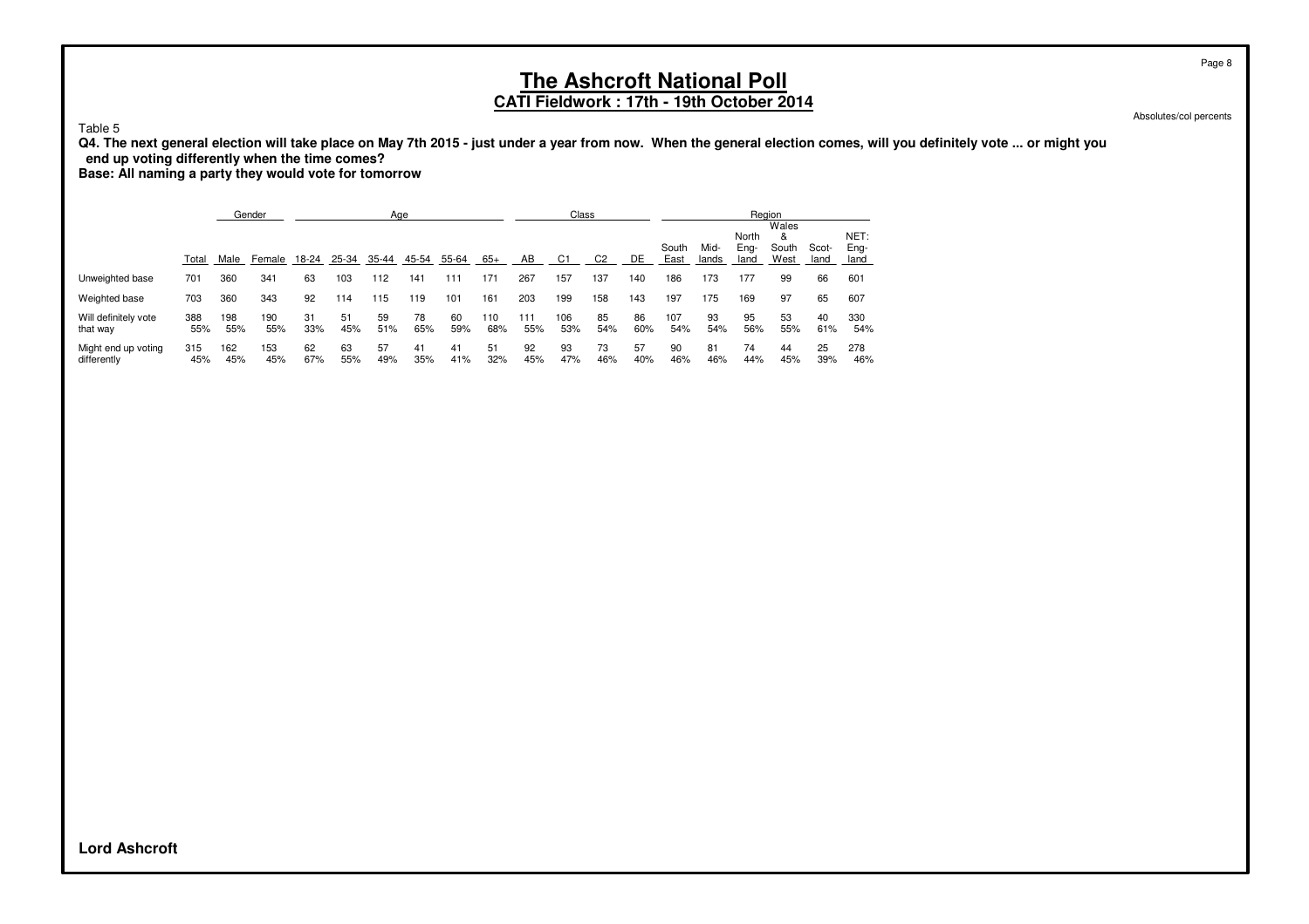### **CATI Fieldwork : 17th - 19th October 2014**

Absolutes/col percents

Table 5

**Q4. The next general election will take place on May 7th 2015 - just under a year from now. When the general election comes, will you definitely vote ... or might you end up voting differently when the time comes?**

**Base: All naming a party they would vote for tomorrow**

|                                    |            |            | Gender     |           |           | Age       |           |           |            |            | Class          |                |           |               |               | Region                |                             |               |                      |
|------------------------------------|------------|------------|------------|-----------|-----------|-----------|-----------|-----------|------------|------------|----------------|----------------|-----------|---------------|---------------|-----------------------|-----------------------------|---------------|----------------------|
|                                    | Total      | Male       | Female     | 18-24     | 25-34     | 35-44     | 45-54     | 55-64     | $65+$      | AB         | C <sub>1</sub> | C <sub>2</sub> | DE        | South<br>East | Mid-<br>lands | North<br>Eng-<br>land | Wales<br>&<br>South<br>West | Scot-<br>land | NET:<br>Eng-<br>land |
| Unweighted base                    | 701        | 360        | 341        | 63        | 103       | 112       | 141       | 111       | 171        | 267        | 157            | 137            | 140       | 186           | 173           | 177                   | 99                          | 66            | 601                  |
| Weighted base                      | 703        | 360        | 343        | 92        | 114       | 115       | 119       | 101       | 161        | 203        | 199            | 158            | 143       | 197           | 175           | 169                   | 97                          | 65            | 607                  |
| Will definitely vote<br>that way   | 388<br>55% | 198<br>55% | 190<br>55% | 31<br>33% | 51<br>45% | 59<br>51% | 78<br>65% | 60<br>59% | 110<br>68% | 111<br>55% | 106<br>53%     | 85<br>54%      | 86<br>60% | 107<br>54%    | 93<br>54%     | 95<br>56%             | 53<br>55%                   | 40<br>61%     | 330<br>54%           |
| Might end up voting<br>differently | 315<br>45% | 162<br>45% | 153<br>45% | 62<br>67% | 63<br>55% | 57<br>49% | 41<br>35% | 41<br>41% | 51<br>32%  | 92<br>45%  | 93<br>47%      | 73<br>46%      | 57<br>40% | 90<br>46%     | 81<br>46%     | 74<br>44%             | 44<br>45%                   | 25<br>39%     | 278<br>46%           |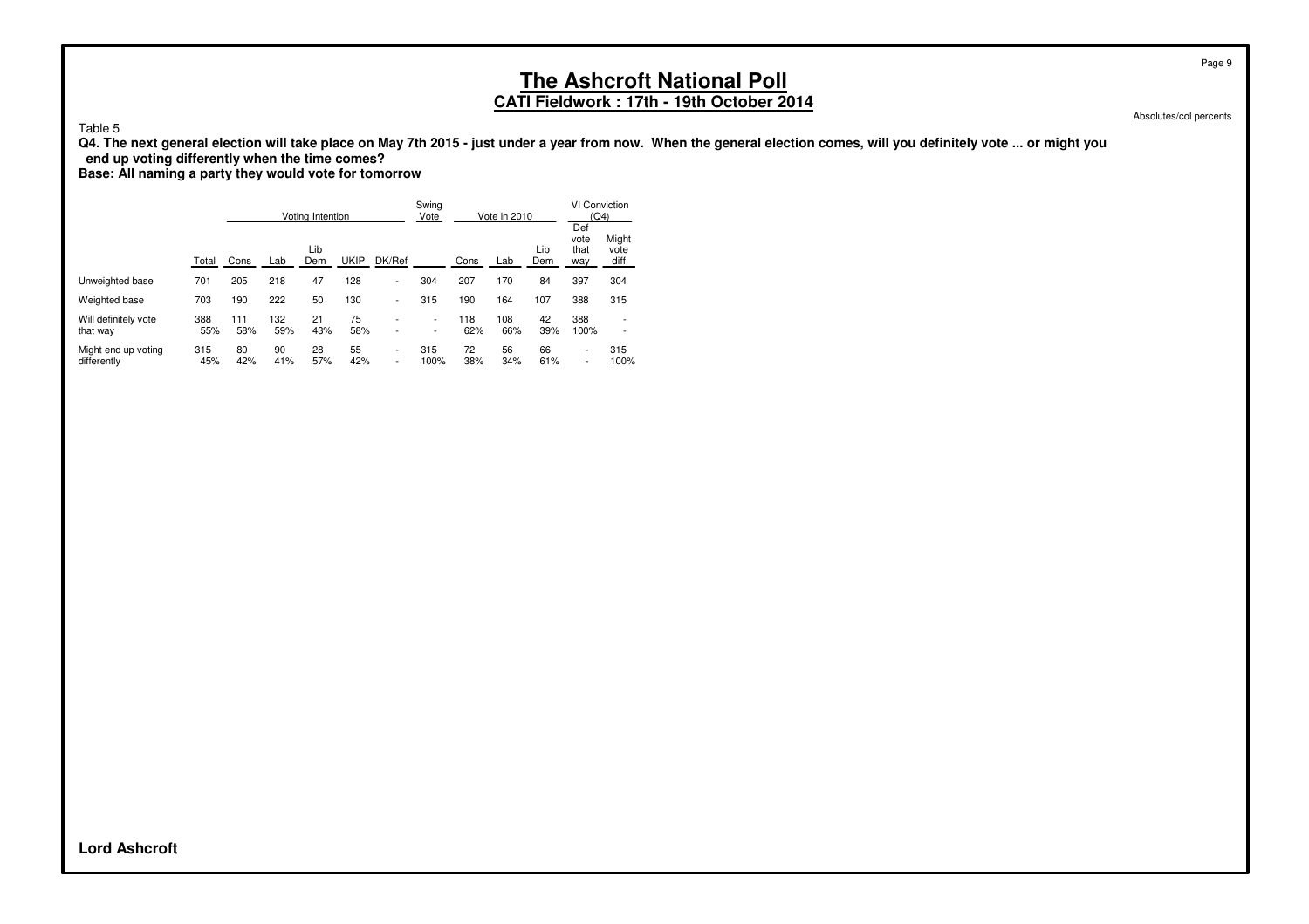## **CATI Fieldwork : 17th - 19th October 2014**

Absolutes/col percents

Page 9

Table 5

**Q4. The next general election will take place on May 7th 2015 - just under a year from now. When the general election comes, will you definitely vote ... or might you end up voting differently when the time comes?**

**Base: All naming a party they would vote for tomorrow**

|                                    |            |            |            | Voting Intention |             |                               | Swing<br>Vote |            | Vote in 2010 |            | VI Conviction<br>(Q4)                                |                                                      |
|------------------------------------|------------|------------|------------|------------------|-------------|-------------------------------|---------------|------------|--------------|------------|------------------------------------------------------|------------------------------------------------------|
|                                    | Total      | Cons       | Lab        | Lib<br>Dem       | <b>UKIP</b> | DK/Ref                        |               | Cons       | Lab          | Lib<br>Dem | Def<br>vote<br>that<br>way                           | Might<br>vote<br>diff                                |
| Unweighted base                    | 701        | 205        | 218        | 47               | 128         | $\overline{\phantom{0}}$      | 304           | 207        | 170          | 84         | 397                                                  | 304                                                  |
| Weighted base                      | 703        | 190        | 222        | 50               | 130         | ٠                             | 315           | 190        | 164          | 107        | 388                                                  | 315                                                  |
| Will definitely vote<br>that way   | 388<br>55% | 111<br>58% | 132<br>59% | 21<br>43%        | 75<br>58%   | $\overline{\phantom{a}}$      | ۰.<br>-       | 118<br>62% | 108<br>66%   | 42<br>39%  | 388<br>100%                                          | $\overline{\phantom{0}}$<br>$\overline{\phantom{0}}$ |
| Might end up voting<br>differently | 315<br>45% | 80<br>42%  | 90<br>41%  | 28<br>57%        | 55<br>42%   | ٠<br>$\overline{\phantom{a}}$ | 315<br>100%   | 72<br>38%  | 56<br>34%    | 66<br>61%  | $\overline{\phantom{0}}$<br>$\overline{\phantom{0}}$ | 315<br>100%                                          |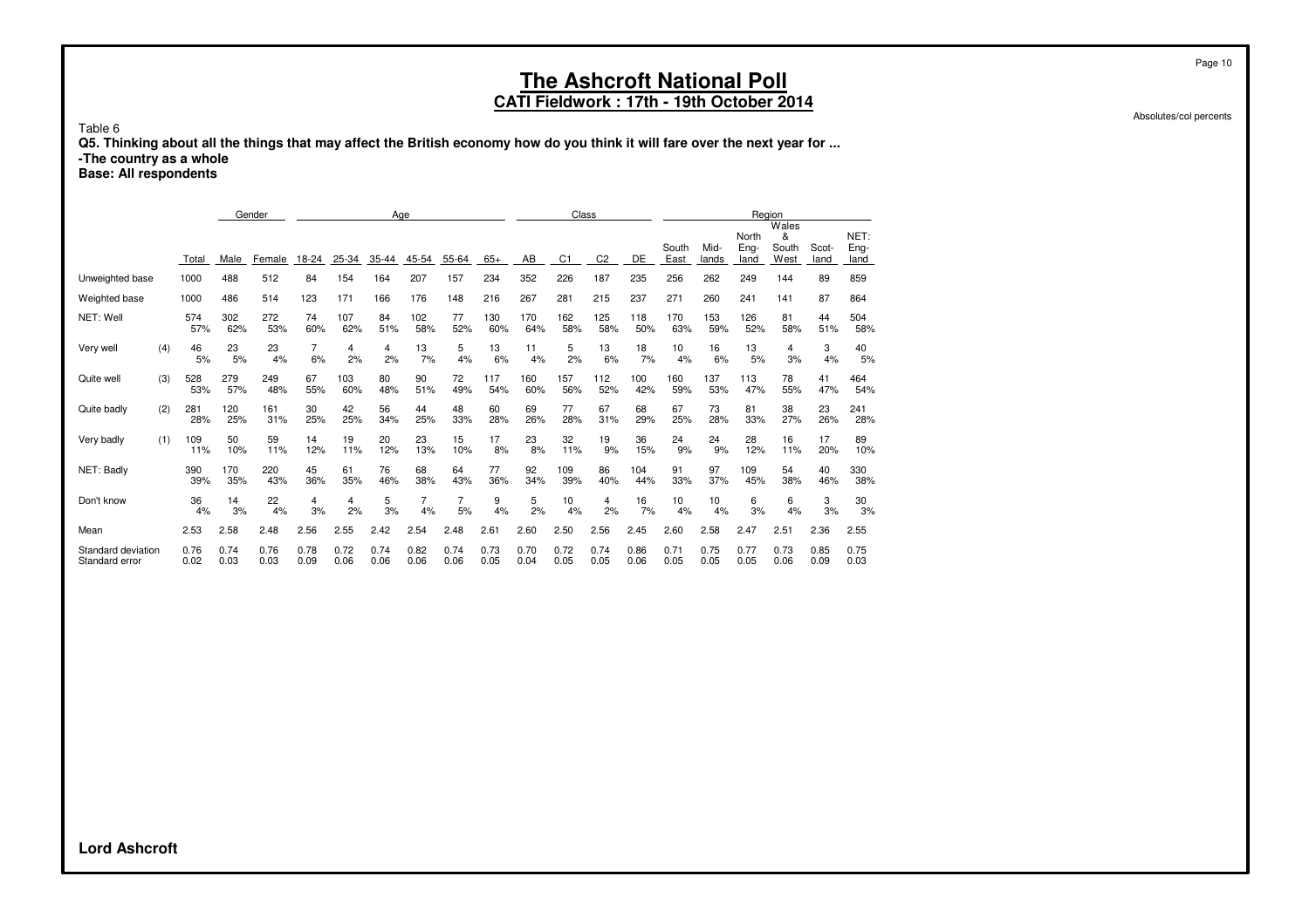#### **CATI Fieldwork : 17th - 19th October 2014**

Absolutes/col percents

Page 10

Table 6

**Q5. Thinking about all the things that may affect the British economy how do you think it will fare over the next year for ... -The country as a whole**

**Base: All respondents**

|                                      |              |              | Gender         |              |              | Age          |              |              |              |              | Class          |                |              |               |               | Region                |                             |               |                      |
|--------------------------------------|--------------|--------------|----------------|--------------|--------------|--------------|--------------|--------------|--------------|--------------|----------------|----------------|--------------|---------------|---------------|-----------------------|-----------------------------|---------------|----------------------|
|                                      | Total        | Male         | Female         | 18-24        | 25-34        | 35-44        | 45-54        | 55-64        | $65+$        | AB           | C <sub>1</sub> | C <sub>2</sub> | DE           | South<br>East | Mid-<br>lands | North<br>Eng-<br>land | Wales<br>&<br>South<br>West | Scot-<br>land | NET:<br>Eng-<br>land |
| Unweighted base                      | 1000         | 488          | 512            | 84           | 154          | 164          | 207          | 157          | 234          | 352          | 226            | 187            | 235          | 256           | 262           | 249                   | 144                         | 89            | 859                  |
| Weighted base                        | 1000         | 486          | 514            | 123          | 171          | 166          | 176          | 148          | 216          | 267          | 281            | 215            | 237          | 271           | 260           | 241                   | 141                         | 87            | 864                  |
| NET: Well                            | 574<br>57%   | 302<br>62%   | 272<br>53%     | 74<br>60%    | 107<br>62%   | 84<br>51%    | 102<br>58%   | 77<br>52%    | 130<br>60%   | 170<br>64%   | 162<br>58%     | 125<br>58%     | 118<br>50%   | 170<br>63%    | 153<br>59%    | 126<br>52%            | 81<br>58%                   | 44<br>51%     | 504<br>58%           |
| (4)<br>Very well                     | 46           | 23<br>5%     | 23<br>5%<br>4% | 7<br>6%      | 4<br>2%      | 4<br>2%      | 13<br>7%     | 5<br>4%      | 13<br>6%     | 11<br>4%     | 5<br>2%        | 13<br>6%       | 18<br>7%     | 10<br>4%      | 16<br>6%      | 13<br>5%              | 4<br>3%                     | 3<br>4%       | 40<br>5%             |
| Quite well<br>(3)                    | 528<br>53%   | 279<br>57%   | 249<br>48%     | 67<br>55%    | 103<br>60%   | 80<br>48%    | 90<br>51%    | 72<br>49%    | 117<br>54%   | 160<br>60%   | 157<br>56%     | 112<br>52%     | 100<br>42%   | 160<br>59%    | 137<br>53%    | 113<br>47%            | 78<br>55%                   | 41<br>47%     | 464<br>54%           |
| (2)<br>Quite badly                   | 281<br>28%   | 120<br>25%   | 161<br>31%     | 30<br>25%    | 42<br>25%    | 56<br>34%    | 44<br>25%    | 48<br>33%    | 60<br>28%    | 69<br>26%    | 77<br>28%      | 67<br>31%      | 68<br>29%    | 67<br>25%     | 73<br>28%     | 81<br>33%             | 38<br>27%                   | 23<br>26%     | 241<br>28%           |
| Very badly<br>(1)                    | 109<br>11%   | 50<br>10%    | 59<br>11%      | 14<br>12%    | 19<br>11%    | 20<br>12%    | 23<br>13%    | 15<br>10%    | 17<br>8%     | 23<br>8%     | 32<br>11%      | 19<br>9%       | 36<br>15%    | 24<br>9%      | 24<br>9%      | 28<br>12%             | 16<br>11%                   | 17<br>20%     | 89<br>10%            |
| NET: Badly                           | 390<br>39%   | 170<br>35%   | 220<br>43%     | 45<br>36%    | 61<br>35%    | 76<br>46%    | 68<br>38%    | 64<br>43%    | 77<br>36%    | 92<br>34%    | 109<br>39%     | 86<br>40%      | 104<br>44%   | 91<br>33%     | 97<br>37%     | 109<br>45%            | 54<br>38%                   | 40<br>46%     | 330<br>38%           |
| Don't know                           | 36           | 14<br>4%     | 22<br>3%<br>4% | 4<br>3%      | 4<br>2%      | 5<br>3%      | 7<br>4%      | 7<br>5%      | 9<br>4%      | 5<br>2%      | 10<br>4%       | 4<br>2%        | 16<br>7%     | 10<br>4%      | 10<br>4%      | 6<br>3%               | 6<br>4%                     | 3<br>3%       | 30<br>3%             |
| Mean                                 | 2.53         | 2.58         | 2.48           | 2.56         | 2.55         | 2.42         | 2.54         | 2.48         | 2.61         | 2.60         | 2.50           | 2.56           | 2.45         | 2.60          | 2.58          | 2.47                  | 2.51                        | 2.36          | 2.55                 |
| Standard deviation<br>Standard error | 0.76<br>0.02 | 0.74<br>0.03 | 0.76<br>0.03   | 0.78<br>0.09 | 0.72<br>0.06 | 0.74<br>0.06 | 0.82<br>0.06 | 0.74<br>0.06 | 0.73<br>0.05 | 0.70<br>0.04 | 0.72<br>0.05   | 0.74<br>0.05   | 0.86<br>0.06 | 0.71<br>0.05  | 0.75<br>0.05  | 0.77<br>0.05          | 0.73<br>0.06                | 0.85<br>0.09  | 0.75<br>0.03         |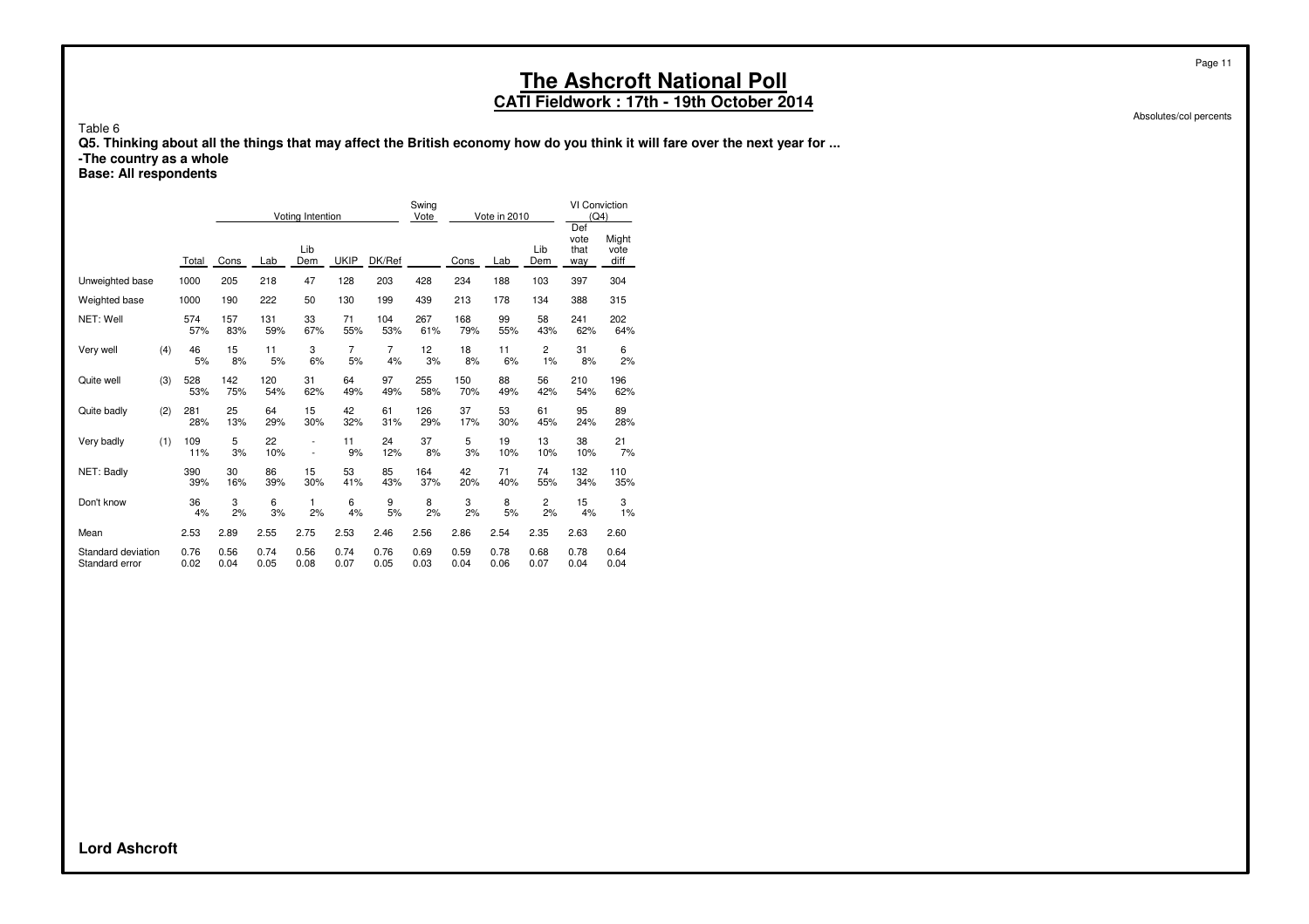### **CATI Fieldwork : 17th - 19th October 2014**

Absolutes/col percents

Page 11

Table 6

**Q5. Thinking about all the things that may affect the British economy how do you think it will fare over the next year for ...**

**-The country as a whole**

**Base: All respondents**

|                    |       |      |      | Voting Intention         |             |        | Swing<br>Vote |      | Vote in 2010 |                | <b>VI Conviction</b><br>(Q4)<br>Def |                       |
|--------------------|-------|------|------|--------------------------|-------------|--------|---------------|------|--------------|----------------|-------------------------------------|-----------------------|
|                    | Total | Cons | Lab  | Lib<br>Dem               | <b>UKIP</b> | DK/Ref |               | Cons | Lab          | Lib<br>Dem     | vote<br>that<br>way                 | Might<br>vote<br>diff |
| Unweighted base    | 1000  | 205  | 218  | 47                       | 128         | 203    | 428           | 234  | 188          | 103            | 397                                 | 304                   |
| Weighted base      | 1000  | 190  | 222  | 50                       | 130         | 199    | 439           | 213  | 178          | 134            | 388                                 | 315                   |
| NET: Well          | 574   | 157  | 131  | 33                       | 71          | 104    | 267           | 168  | 99           | 58             | 241                                 | 202                   |
|                    | 57%   | 83%  | 59%  | 67%                      | 55%         | 53%    | 61%           | 79%  | 55%          | 43%            | 62%                                 | 64%                   |
| (4)                | 46    | 15   | 11   | 3                        | 7           | 7      | 12            | 18   | 11           | 2              | 31                                  | 6                     |
| Very well          | 5%    | 8%   | 5%   | 6%                       | 5%          | 4%     | 3%            | 8%   | 6%           | 1%             | 8%                                  | 2%                    |
| (3)                | 528   | 142  | 120  | 31                       | 64          | 97     | 255           | 150  | 88           | 56             | 210                                 | 196                   |
| Quite well         | 53%   | 75%  | 54%  | 62%                      | 49%         | 49%    | 58%           | 70%  | 49%          | 42%            | 54%                                 | 62%                   |
| Quite badly        | 281   | 25   | 64   | 15                       | 42          | 61     | 126           | 37   | 53           | 61             | 95                                  | 89                    |
| (2)                | 28%   | 13%  | 29%  | 30%                      | 32%         | 31%    | 29%           | 17%  | 30%          | 45%            | 24%                                 | 28%                   |
| (1)                | 109   | 5    | 22   | $\overline{a}$           | 11          | 24     | 37            | 5    | 19           | 13             | 38                                  | 21                    |
| Very badly         | 11%   | 3%   | 10%  | $\overline{\phantom{a}}$ | 9%          | 12%    | 8%            | 3%   | 10%          | 10%            | 10%                                 | 7%                    |
| NET: Badly         | 390   | 30   | 86   | 15                       | 53          | 85     | 164           | 42   | 71           | 74             | 132                                 | 110                   |
|                    | 39%   | 16%  | 39%  | 30%                      | 41%         | 43%    | 37%           | 20%  | 40%          | 55%            | 34%                                 | 35%                   |
| Don't know         | 36    | 3    | 6    | 1                        | 6           | 9      | 8             | 3    | 8            | $\overline{c}$ | 15                                  | 3                     |
|                    | 4%    | 2%   | 3%   | 2%                       | 4%          | 5%     | 2%            | 2%   | 5%           | 2%             | 4%                                  | 1%                    |
| Mean               | 2.53  | 2.89 | 2.55 | 2.75                     | 2.53        | 2.46   | 2.56          | 2.86 | 2.54         | 2.35           | 2.63                                | 2.60                  |
| Standard deviation | 0.76  | 0.56 | 0.74 | 0.56                     | 0.74        | 0.76   | 0.69          | 0.59 | 0.78         | 0.68           | 0.78                                | 0.64                  |
| Standard error     | 0.02  | 0.04 | 0.05 | 0.08                     | 0.07        | 0.05   | 0.03          | 0.04 | 0.06         | 0.07           | 0.04                                | 0.04                  |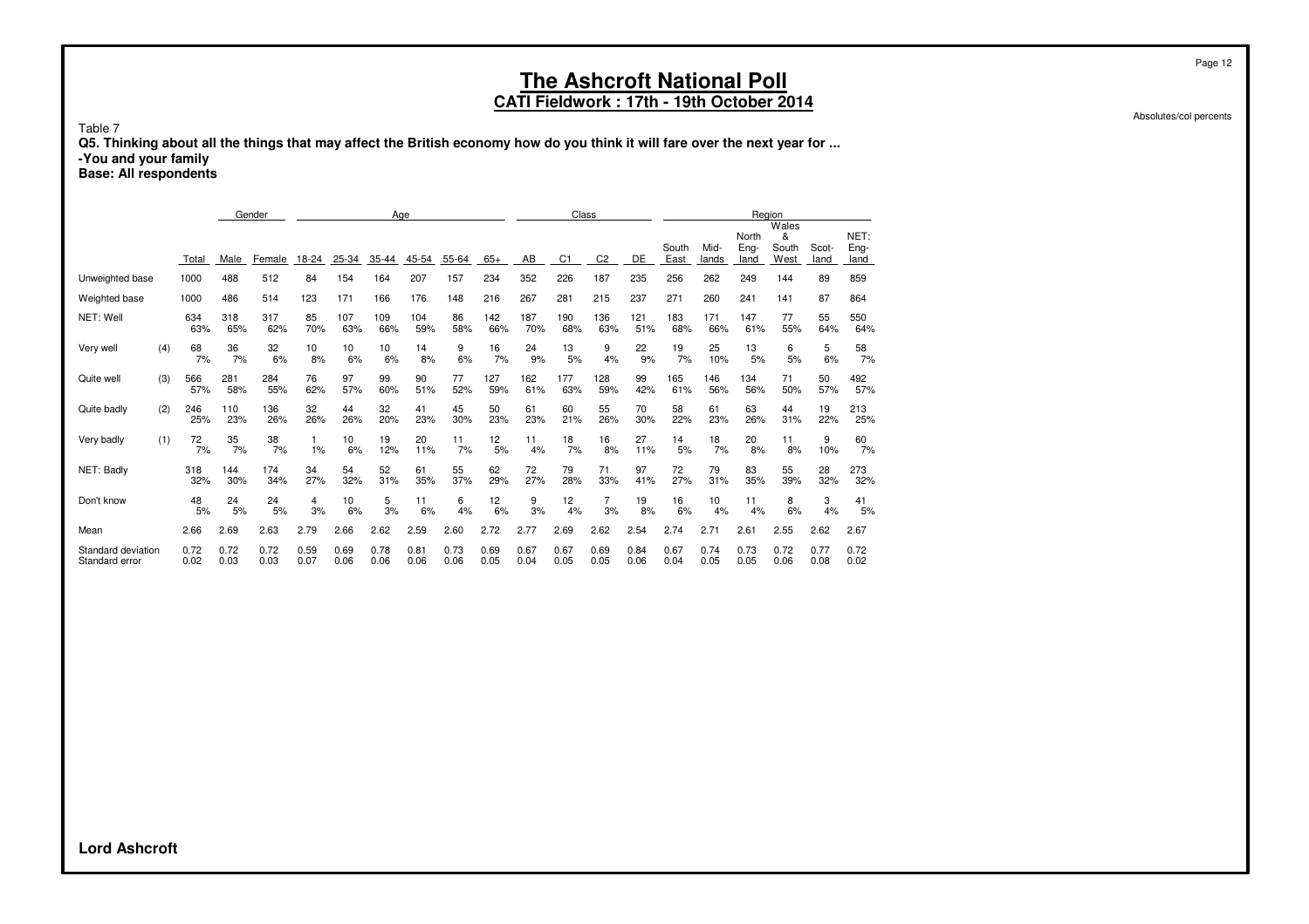### **CATI Fieldwork : 17th - 19th October 2014**

Absolutes/col percents

Table 7

**Q5. Thinking about all the things that may affect the British economy how do you think it will fare over the next year for ... -You and your family**

**Base: All respondents**

|                                      |     |              |              | Gender       |              | Age          |              |              | Class        |              |              |                | Region         |              |               |               |                       |                             |               |                      |
|--------------------------------------|-----|--------------|--------------|--------------|--------------|--------------|--------------|--------------|--------------|--------------|--------------|----------------|----------------|--------------|---------------|---------------|-----------------------|-----------------------------|---------------|----------------------|
|                                      |     | Total        | Male         | Female       | 18-24        | 25-34        | 35-44        | 45-54        | 55-64        | $65+$        | AB           | C <sub>1</sub> | C <sub>2</sub> | DE           | South<br>East | Mid-<br>lands | North<br>Eng-<br>land | Wales<br>&<br>South<br>West | Scot-<br>land | NET:<br>Eng-<br>land |
| Unweighted base                      |     | 1000         | 488          | 512          | 84           | 154          | 164          | 207          | 157          | 234          | 352          | 226            | 187            | 235          | 256           | 262           | 249                   | 144                         | 89            | 859                  |
| Weighted base                        |     | 1000         | 486          | 514          | 123          | 171          | 166          | 176          | 148          | 216          | 267          | 281            | 215            | 237          | 271           | 260           | 241                   | 141                         | 87            | 864                  |
| NET: Well                            |     | 634<br>63%   | 318<br>65%   | 317<br>62%   | 85<br>70%    | 107<br>63%   | 109<br>66%   | 104<br>59%   | 86<br>58%    | 142<br>66%   | 187<br>70%   | 190<br>68%     | 136<br>63%     | 121<br>51%   | 183<br>68%    | 171<br>66%    | 147<br>61%            | 77<br>55%                   | 55<br>64%     | 550<br>64%           |
| Very well                            | (4) | 68<br>7%     | 36<br>7%     | 32<br>6%     | 10<br>8%     | 10<br>6%     | 10<br>6%     | 14<br>8%     | 9<br>6%      | 16<br>7%     | 24<br>9%     | 13<br>5%       | 9<br>4%        | 22<br>9%     | 19<br>7%      | 25<br>10%     | 13<br>5%              | 6<br>5%                     | 5<br>6%       | 58<br>7%             |
| Quite well                           | (3) | 566<br>57%   | 281<br>58%   | 284<br>55%   | 76<br>62%    | 97<br>57%    | 99<br>60%    | 90<br>51%    | 77<br>52%    | 127<br>59%   | 162<br>61%   | 177<br>63%     | 128<br>59%     | 99<br>42%    | 165<br>61%    | 146<br>56%    | 134<br>56%            | 71<br>50%                   | 50<br>57%     | 492<br>57%           |
| Quite badly                          | (2) | 246<br>25%   | 110<br>23%   | 136<br>26%   | 32<br>26%    | 44<br>26%    | 32<br>20%    | 41<br>23%    | 45<br>30%    | 50<br>23%    | 61<br>23%    | 60<br>21%      | 55<br>26%      | 70<br>30%    | 58<br>22%     | 61<br>23%     | 63<br>26%             | 44<br>31%                   | 19<br>22%     | 213<br>25%           |
| Very badly                           | (1) | 72<br>7%     | 35<br>7%     | 38<br>7%     | 1%           | 10<br>6%     | 19<br>12%    | 20<br>11%    | 11<br>7%     | 12<br>5%     | 11<br>4%     | 18<br>7%       | 16<br>8%       | 27<br>11%    | 14<br>5%      | 18<br>7%      | 20<br>8%              | 11<br>8%                    | 9<br>10%      | 60<br>7%             |
| NET: Badly                           |     | 318<br>32%   | 144<br>30%   | 174<br>34%   | 34<br>27%    | 54<br>32%    | 52<br>31%    | 61<br>35%    | 55<br>37%    | 62<br>29%    | 72<br>27%    | 79<br>28%      | 71<br>33%      | 97<br>41%    | 72<br>27%     | 79<br>31%     | 83<br>35%             | 55<br>39%                   | 28<br>32%     | 273<br>32%           |
| Don't know                           |     | 48<br>5%     | 24<br>5%     | 24<br>5%     | 4<br>3%      | 10<br>6%     | 5<br>3%      | 11<br>6%     | 6<br>4%      | 12<br>6%     | 9<br>3%      | 12<br>4%       | 7<br>3%        | 19<br>8%     | 16<br>6%      | 10<br>4%      | 11<br>4%              | 8<br>6%                     | 3<br>4%       | 41<br>5%             |
| Mean                                 |     | 2.66         | 2.69         | 2.63         | 2.79         | 2.66         | 2.62         | 2.59         | 2.60         | 2.72         | 2.77         | 2.69           | 2.62           | 2.54         | 2.74          | 2.71          | 2.61                  | 2.55                        | 2.62          | 2.67                 |
| Standard deviation<br>Standard error |     | 0.72<br>0.02 | 0.72<br>0.03 | 0.72<br>0.03 | 0.59<br>0.07 | 0.69<br>0.06 | 0.78<br>0.06 | 0.81<br>0.06 | 0.73<br>0.06 | 0.69<br>0.05 | 0.67<br>0.04 | 0.67<br>0.05   | 0.69<br>0.05   | 0.84<br>0.06 | 0.67<br>0.04  | 0.74<br>0.05  | 0.73<br>0.05          | 0.72<br>0.06                | 0.77<br>0.08  | 0.72<br>0.02         |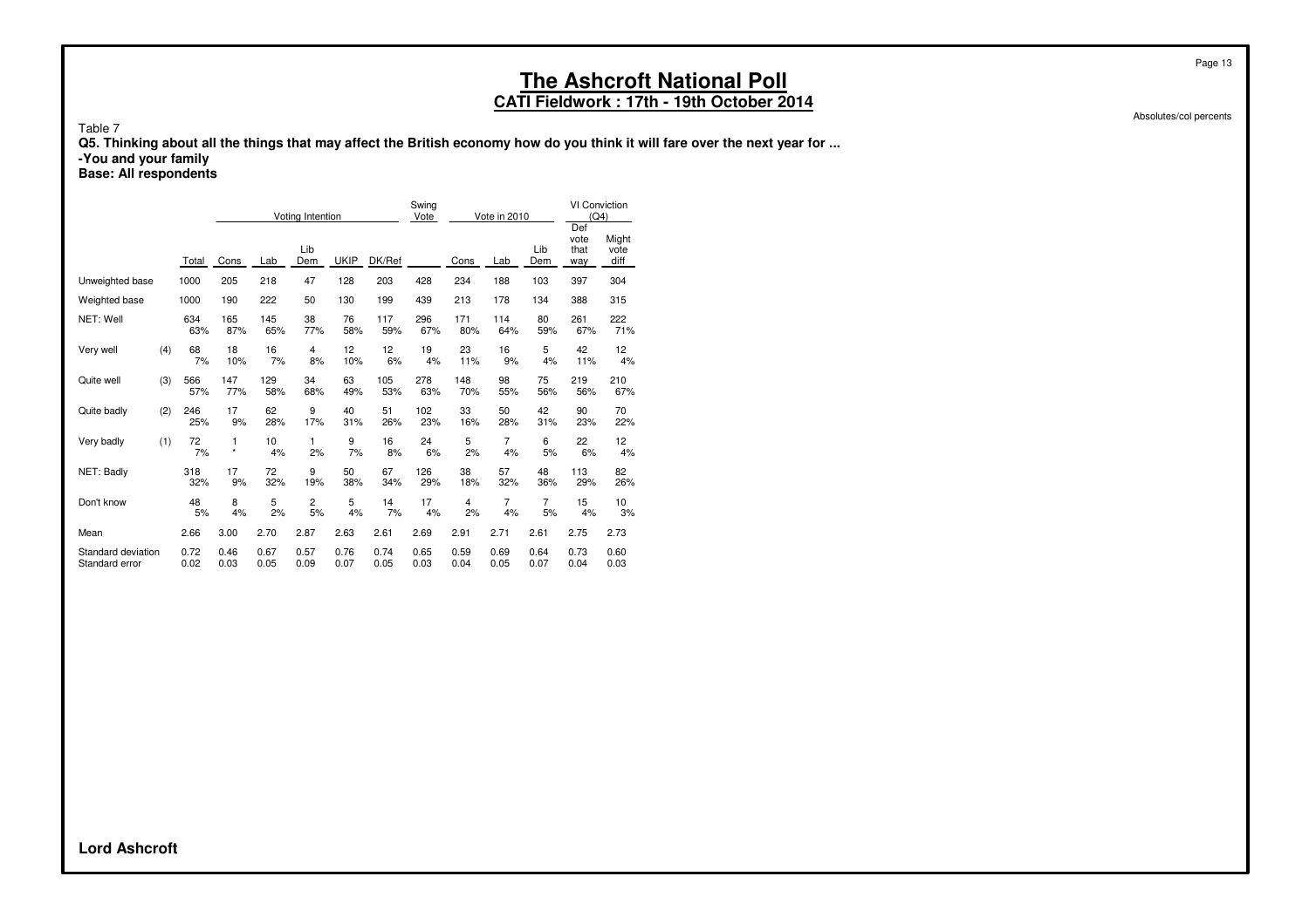### **CATI Fieldwork : 17th - 19th October 2014**

Absolutes/col percents

Table 7

**Q5. Thinking about all the things that may affect the British economy how do you think it will fare over the next year for ...**

**-You and your family**

**Base: All respondents**

|                    |       | Voting Intention |      |            | Swing<br>Vote |        | Vote in 2010 |      | <b>VI Conviction</b><br>(Q4)<br>Def |                |                     |                       |
|--------------------|-------|------------------|------|------------|---------------|--------|--------------|------|-------------------------------------|----------------|---------------------|-----------------------|
|                    | Total | Cons             | Lab  | Lib<br>Dem | <b>UKIP</b>   | DK/Ref |              | Cons | Lab                                 | Lib<br>Dem     | vote<br>that<br>way | Might<br>vote<br>diff |
| Unweighted base    | 1000  | 205              | 218  | 47         | 128           | 203    | 428          | 234  | 188                                 | 103            | 397                 | 304                   |
| Weighted base      | 1000  | 190              | 222  | 50         | 130           | 199    | 439          | 213  | 178                                 | 134            | 388                 | 315                   |
| NET: Well          | 634   | 165              | 145  | 38         | 76            | 117    | 296          | 171  | 114                                 | 80             | 261                 | 222                   |
|                    | 63%   | 87%              | 65%  | 77%        | 58%           | 59%    | 67%          | 80%  | 64%                                 | 59%            | 67%                 | 71%                   |
| (4)                | 68    | 18               | 16   | 4          | 12            | 12     | 19           | 23   | 16                                  | 5              | 42                  | 12                    |
| Very well          | 7%    | 10%              | 7%   | 8%         | 10%           | 6%     | 4%           | 11%  | 9%                                  | 4%             | 11%                 | 4%                    |
| (3)                | 566   | 147              | 129  | 34         | 63            | 105    | 278          | 148  | 98                                  | 75             | 219                 | 210                   |
| Quite well         | 57%   | 77%              | 58%  | 68%        | 49%           | 53%    | 63%          | 70%  | 55%                                 | 56%            | 56%                 | 67%                   |
| (2)                | 246   | 17               | 62   | 9          | 40            | 51     | 102          | 33   | 50                                  | 42             | 90                  | 70                    |
| Quite badly        | 25%   | 9%               | 28%  | 17%        | 31%           | 26%    | 23%          | 16%  | 28%                                 | 31%            | 23%                 | 22%                   |
| (1)                | 72    | 1                | 10   | 1          | 9             | 16     | 24           | 5    | 7                                   | 6              | 22                  | 12                    |
| Very badly         | 7%    | $\star$          | 4%   | 2%         | 7%            | 8%     | 6%           | 2%   | 4%                                  | 5%             | 6%                  | 4%                    |
| NET: Badly         | 318   | 17               | 72   | 9          | 50            | 67     | 126          | 38   | 57                                  | 48             | 113                 | 82                    |
|                    | 32%   | 9%               | 32%  | 19%        | 38%           | 34%    | 29%          | 18%  | 32%                                 | 36%            | 29%                 | 26%                   |
| Don't know         | 48    | 8                | 5    | 2          | 5             | 14     | 17           | 4    | 7                                   | $\overline{7}$ | 15                  | 10                    |
|                    | 5%    | 4%               | 2%   | 5%         | 4%            | 7%     | 4%           | 2%   | 4%                                  | 5%             | 4%                  | 3%                    |
| Mean               | 2.66  | 3.00             | 2.70 | 2.87       | 2.63          | 2.61   | 2.69         | 2.91 | 2.71                                | 2.61           | 2.75                | 2.73                  |
| Standard deviation | 0.72  | 0.46             | 0.67 | 0.57       | 0.76          | 0.74   | 0.65         | 0.59 | 0.69                                | 0.64           | 0.73                | 0.60                  |
| Standard error     | 0.02  | 0.03             | 0.05 | 0.09       | 0.07          | 0.05   | 0.03         | 0.04 | 0.05                                | 0.07           | 0.04                | 0.03                  |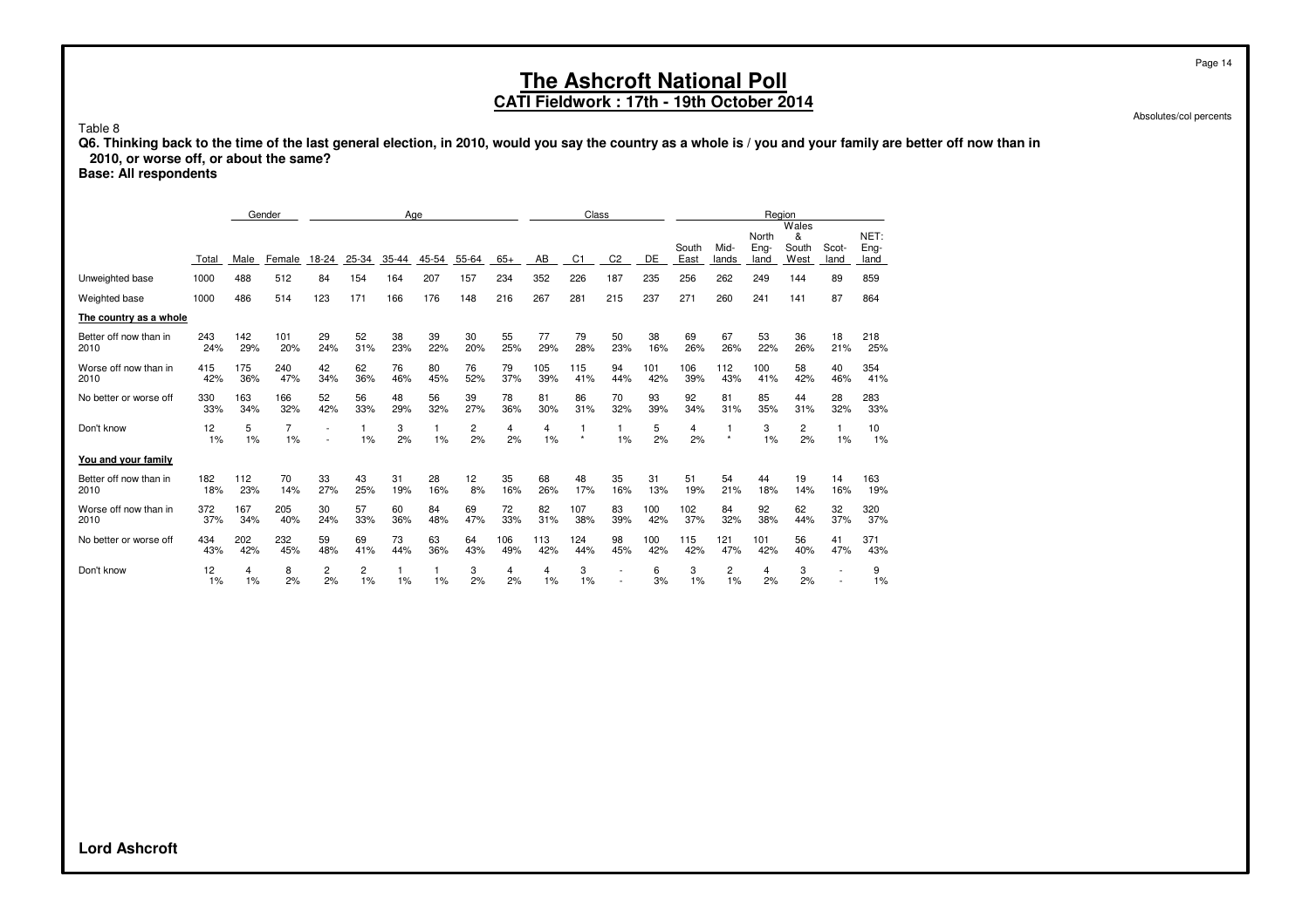#### **CATI Fieldwork : 17th - 19th October 2014**

Absolutes/col percents

Page 14

Table 8

**Q6. Thinking back to the time of the last general election, in 2010, would you say the country as a whole is / you and your family are better off now than in 2010, or worse off, or about the same?**

**Base: All respondents**

|                                |            |            | Gender     | Age       |                      | Class     |           |           |            | Region               |                |                |            |               |               |                       |                             |                          |                      |
|--------------------------------|------------|------------|------------|-----------|----------------------|-----------|-----------|-----------|------------|----------------------|----------------|----------------|------------|---------------|---------------|-----------------------|-----------------------------|--------------------------|----------------------|
|                                | Total      | Male       | Female     | 18-24     | 25-34                | 35-44     | 45-54     | 55-64     | $65+$      | AB                   | C <sub>1</sub> | C <sub>2</sub> | DE         | South<br>East | Mid-<br>lands | North<br>Eng-<br>land | Wales<br>&<br>South<br>West | Scot-<br>land            | NET:<br>Eng-<br>land |
| Unweighted base                | 1000       | 488        | 512        | 84        | 154                  | 164       | 207       | 157       | 234        | 352                  | 226            | 187            | 235        | 256           | 262           | 249                   | 144                         | 89                       | 859                  |
| Weighted base                  | 1000       | 486        | 514        | 123       | 171                  | 166       | 176       | 148       | 216        | 267                  | 281            | 215            | 237        | 271           | 260           | 241                   | 141                         | 87                       | 864                  |
| The country as a whole         |            |            |            |           |                      |           |           |           |            |                      |                |                |            |               |               |                       |                             |                          |                      |
| Better off now than in<br>2010 | 243<br>24% | 142<br>29% | 101<br>20% | 29<br>24% | 52<br>31%            | 38<br>23% | 39<br>22% | 30<br>20% | 55<br>25%  | 77<br>29%            | 79<br>28%      | 50<br>23%      | 38<br>16%  | 69<br>26%     | 67<br>26%     | 53<br>22%             | 36<br>26%                   | 18<br>21%                | 218<br>25%           |
| Worse off now than in<br>2010  | 415<br>42% | 175<br>36% | 240<br>47% | 42<br>34% | 62<br>36%            | 76<br>46% | 80<br>45% | 76<br>52% | 79<br>37%  | 105<br>39%           | 115<br>41%     | 94<br>44%      | 101<br>42% | 106<br>39%    | 112<br>43%    | 100<br>41%            | 58<br>42%                   | 40<br>46%                | 354<br>41%           |
| No better or worse off         | 330<br>33% | 163<br>34% | 166<br>32% | 52<br>42% | 56<br>33%            | 48<br>29% | 56<br>32% | 39<br>27% | 78<br>36%  | 81<br>30%            | 86<br>31%      | 70<br>32%      | 93<br>39%  | 92<br>34%     | 81<br>31%     | 85<br>35%             | 44<br>31%                   | 28<br>32%                | 283<br>33%           |
| Don't know                     | 12<br>1%   | 5<br>1%    | 7<br>1%    | ÷         | 1%                   | 3<br>2%   | 1%        | 2<br>2%   | 4<br>2%    | $\overline{4}$<br>1% | $\star$        | 1<br>1%        | 5<br>2%    | 4<br>2%       | 1<br>$\star$  | 3<br>1%               | 2<br>2%                     | 1<br>1%                  | 10<br>1%             |
| You and your family            |            |            |            |           |                      |           |           |           |            |                      |                |                |            |               |               |                       |                             |                          |                      |
| Better off now than in<br>2010 | 182<br>18% | 112<br>23% | 70<br>14%  | 33<br>27% | 43<br>25%            | 31<br>19% | 28<br>16% | 12<br>8%  | 35<br>16%  | 68<br>26%            | 48<br>17%      | 35<br>16%      | 31<br>13%  | 51<br>19%     | 54<br>21%     | 44<br>18%             | 19<br>14%                   | 14<br>16%                | 163<br>19%           |
| Worse off now than in<br>2010  | 372<br>37% | 167<br>34% | 205<br>40% | 30<br>24% | 57<br>33%            | 60<br>36% | 84<br>48% | 69<br>47% | 72<br>33%  | 82<br>31%            | 107<br>38%     | 83<br>39%      | 100<br>42% | 102<br>37%    | 84<br>32%     | 92<br>38%             | 62<br>44%                   | 32<br>37%                | 320<br>37%           |
| No better or worse off         | 434<br>43% | 202<br>42% | 232<br>45% | 59<br>48% | 69<br>41%            | 73<br>44% | 63<br>36% | 64<br>43% | 106<br>49% | 113<br>42%           | 124<br>44%     | 98<br>45%      | 100<br>42% | 115<br>42%    | 121<br>47%    | 101<br>42%            | 56<br>40%                   | 41<br>47%                | 371<br>43%           |
| Don't know                     | 12<br>1%   | 4<br>1%    | 8<br>2%    | 2<br>2%   | $\overline{c}$<br>1% | 1%        | 1%        | 3<br>2%   | 4<br>2%    | $\overline{4}$<br>1% | 3<br>1%        | $\overline{a}$ | 6<br>3%    | 3<br>1%       | 2<br>1%       | 4<br>2%               | 3<br>2%                     | $\overline{\phantom{0}}$ | 9<br>1%              |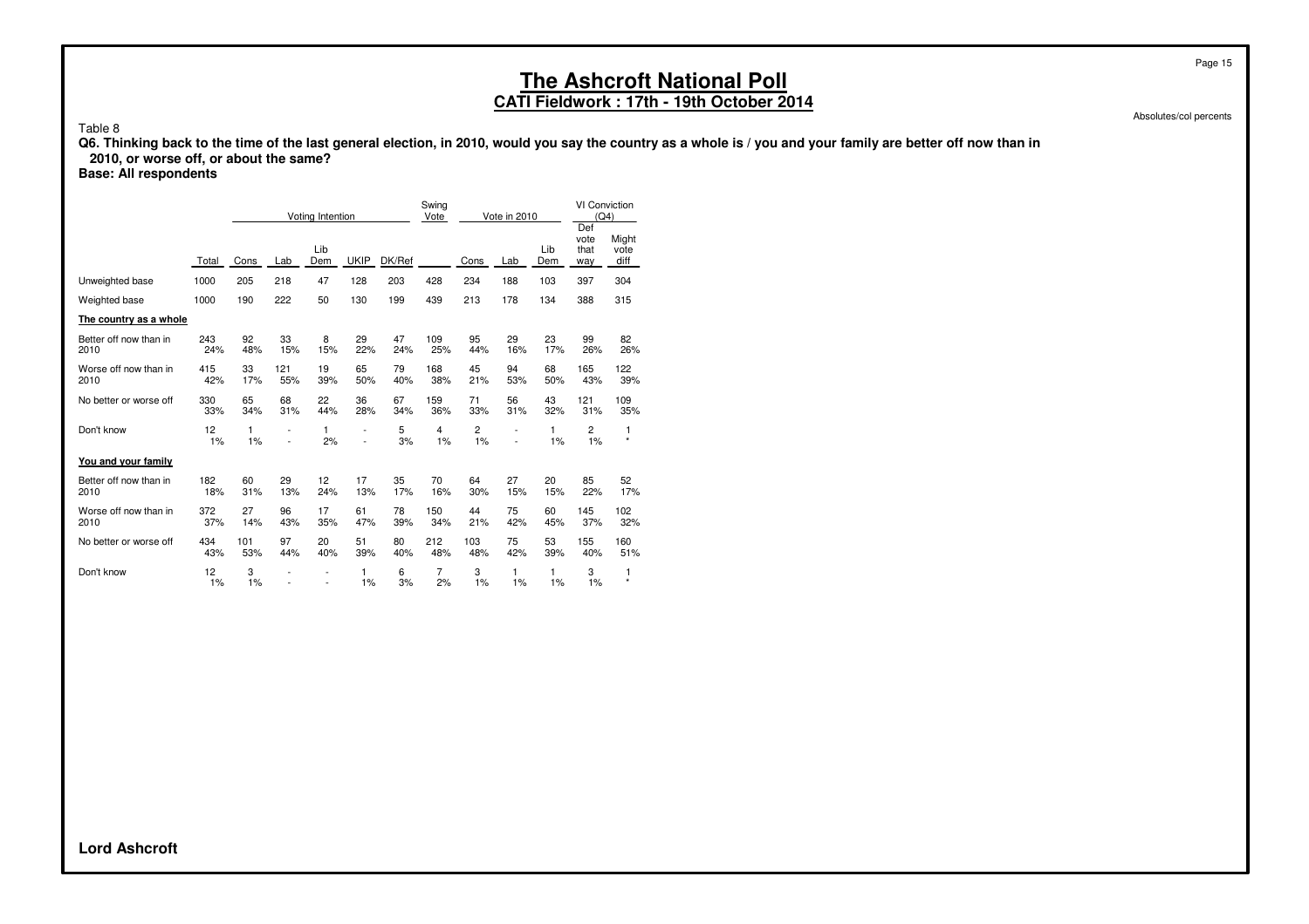### **CATI Fieldwork : 17th - 19th October 2014**

Absolutes/col percents

Page 15

Table 8

**Q6. Thinking back to the time of the last general election, in 2010, would you say the country as a whole is / you and your family are better off now than in**

 **2010, or worse off, or about the same?**

**Base: All respondents**

|                                |            | Voting Intention |                      | Swing<br>Vote  | Vote in 2010                               |           |                      | VI Conviction<br>(Q4)<br>Def |                |            |                      |                       |
|--------------------------------|------------|------------------|----------------------|----------------|--------------------------------------------|-----------|----------------------|------------------------------|----------------|------------|----------------------|-----------------------|
|                                | Total      | Cons             | Lab                  | Lib<br>Dem     | <b>UKIP</b>                                | DK/Ref    |                      | Cons                         | Lab            | Lib<br>Dem | vote<br>that<br>way  | Might<br>vote<br>diff |
| Unweighted base                | 1000       | 205              | 218                  | 47             | 128                                        | 203       | 428                  | 234                          | 188            | 103        | 397                  | 304                   |
| Weighted base                  | 1000       | 190              | 222                  | 50             | 130                                        | 199       | 439                  | 213                          | 178            | 134        | 388                  | 315                   |
| The country as a whole         |            |                  |                      |                |                                            |           |                      |                              |                |            |                      |                       |
| Better off now than in<br>2010 | 243<br>24% | 92<br>48%        | 33<br>15%            | 8<br>15%       | 29<br>22%                                  | 47<br>24% | 109<br>25%           | 95<br>44%                    | 29<br>16%      | 23<br>17%  | 99<br>26%            | 82<br>26%             |
| Worse off now than in<br>2010  | 415<br>42% | 33<br>17%        | 121<br>55%           | 19<br>39%      | 65<br>50%                                  | 79<br>40% | 168<br>38%           | 45<br>21%                    | 94<br>53%      | 68<br>50%  | 165<br>43%           | 122<br>39%            |
| No better or worse off         | 330<br>33% | 65<br>34%        | 68<br>31%            | 22<br>44%      | 36<br>28%                                  | 67<br>34% | 159<br>36%           | 71<br>33%                    | 56<br>31%      | 43<br>32%  | 121<br>31%           | 109<br>35%            |
| Don't know                     | 12<br>1%   | 1<br>1%          | $\overline{a}$<br>L, | 1<br>2%        | $\overline{\phantom{0}}$<br>$\overline{a}$ | 5<br>3%   | $\overline{4}$<br>1% | 2<br>1%                      | $\overline{a}$ | 1<br>1%    | $\overline{c}$<br>1% | 1<br>$\star$          |
| You and your family            |            |                  |                      |                |                                            |           |                      |                              |                |            |                      |                       |
| Better off now than in<br>2010 | 182<br>18% | 60<br>31%        | 29<br>13%            | 12<br>24%      | 17<br>13%                                  | 35<br>17% | 70<br>16%            | 64<br>30%                    | 27<br>15%      | 20<br>15%  | 85<br>22%            | 52<br>17%             |
| Worse off now than in<br>2010  | 372<br>37% | 27<br>14%        | 96<br>43%            | 17<br>35%      | 61<br>47%                                  | 78<br>39% | 150<br>34%           | 44<br>21%                    | 75<br>42%      | 60<br>45%  | 145<br>37%           | 102<br>32%            |
| No better or worse off         | 434<br>43% | 101<br>53%       | 97<br>44%            | 20<br>40%      | 51<br>39%                                  | 80<br>40% | 212<br>48%           | 103<br>48%                   | 75<br>42%      | 53<br>39%  | 155<br>40%           | 160<br>51%            |
| Don't know                     | 12<br>1%   | 3<br>1%          |                      | $\overline{a}$ | 1<br>1%                                    | 6<br>3%   | 7<br>2%              | 3<br>1%                      | 1<br>1%        | 1<br>1%    | 3<br>1%              | 1<br>$\star$          |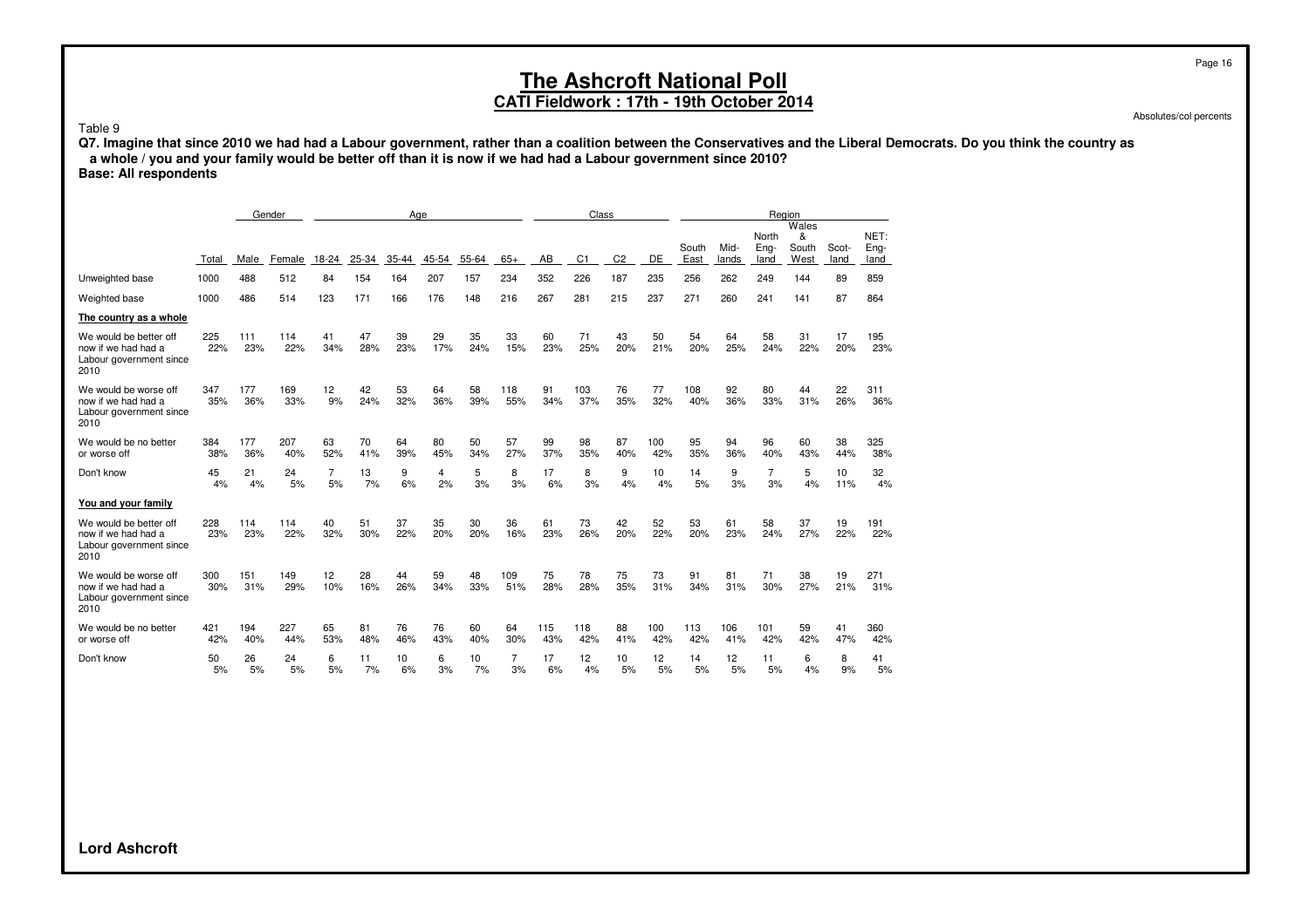#### **CATI Fieldwork : 17th - 19th October 2014**

Absolutes/col percents

Page 16

Table 9

**Q7. Imagine that since 2010 we had had a Labour government, rather than a coalition between the Conservatives and the Liberal Democrats. Do you think the country as a whole / you and your family would be better off than it is now if we had had a Labour government since 2010? Base: All respondents**

|                                                                                  |            |            | Gender     | Aae       |           |           | Class     |           |                      |            | Region         |                |            |               |               |                       |                             |               |                      |
|----------------------------------------------------------------------------------|------------|------------|------------|-----------|-----------|-----------|-----------|-----------|----------------------|------------|----------------|----------------|------------|---------------|---------------|-----------------------|-----------------------------|---------------|----------------------|
|                                                                                  | Total      | Male       | Female     | 18-24     | 25-34     | $35 - 44$ | 45-54     | 55-64     | $65+$                | AB         | C <sub>1</sub> | C <sub>2</sub> | <b>DE</b>  | South<br>East | Mid-<br>lands | North<br>Eng-<br>land | Wales<br>&<br>South<br>West | Scot-<br>land | NET:<br>Eng-<br>land |
| Unweighted base                                                                  | 1000       | 488        | 512        | 84        | 154       | 164       | 207       | 157       | 234                  | 352        | 226            | 187            | 235        | 256           | 262           | 249                   | 144                         | 89            | 859                  |
| Weighted base                                                                    | 1000       | 486        | 514        | 123       | 171       | 166       | 176       | 148       | 216                  | 267        | 281            | 215            | 237        | 271           | 260           | 241                   | 141                         | 87            | 864                  |
| The country as a whole                                                           |            |            |            |           |           |           |           |           |                      |            |                |                |            |               |               |                       |                             |               |                      |
| We would be better off<br>now if we had had a<br>Labour government since<br>2010 | 225<br>22% | 111<br>23% | 114<br>22% | 41<br>34% | 47<br>28% | 39<br>23% | 29<br>17% | 35<br>24% | 33<br>15%            | 60<br>23%  | 71<br>25%      | 43<br>20%      | 50<br>21%  | 54<br>20%     | 64<br>25%     | 58<br>24%             | 31<br>22%                   | 17<br>20%     | 195<br>23%           |
| We would be worse off<br>now if we had had a<br>Labour government since<br>2010  | 347<br>35% | 177<br>36% | 169<br>33% | 12<br>9%  | 42<br>24% | 53<br>32% | 64<br>36% | 58<br>39% | 118<br>55%           | 91<br>34%  | 103<br>37%     | 76<br>35%      | 77<br>32%  | 108<br>40%    | 92<br>36%     | 80<br>33%             | 44<br>31%                   | 22<br>26%     | 311<br>36%           |
| We would be no better<br>or worse off                                            | 384<br>38% | 177<br>36% | 207<br>40% | 63<br>52% | 70<br>41% | 64<br>39% | 80<br>45% | 50<br>34% | 57<br>27%            | 99<br>37%  | 98<br>35%      | 87<br>40%      | 100<br>42% | 95<br>35%     | 94<br>36%     | 96<br>40%             | 60<br>43%                   | 38<br>44%     | 325<br>38%           |
| Don't know                                                                       | 45<br>4%   | 21<br>4%   | 24<br>5%   | 7<br>5%   | 13<br>7%  | 9<br>6%   | 4<br>2%   | 5<br>3%   | 8<br>3%              | 17<br>6%   | 8<br>3%        | 9<br>4%        | 10<br>4%   | 14<br>5%      | 9<br>3%       | 7<br>3%               | 5<br>4%                     | 10<br>11%     | 32<br>4%             |
| You and your family                                                              |            |            |            |           |           |           |           |           |                      |            |                |                |            |               |               |                       |                             |               |                      |
| We would be better off<br>now if we had had a<br>Labour government since<br>2010 | 228<br>23% | 114<br>23% | 114<br>22% | 40<br>32% | 51<br>30% | 37<br>22% | 35<br>20% | 30<br>20% | 36<br>16%            | 61<br>23%  | 73<br>26%      | 42<br>20%      | 52<br>22%  | 53<br>20%     | 61<br>23%     | 58<br>24%             | 37<br>27%                   | 19<br>22%     | 191<br>22%           |
| We would be worse off<br>now if we had had a<br>Labour government since<br>2010  | 300<br>30% | 151<br>31% | 149<br>29% | 12<br>10% | 28<br>16% | 44<br>26% | 59<br>34% | 48<br>33% | 109<br>51%           | 75<br>28%  | 78<br>28%      | 75<br>35%      | 73<br>31%  | 91<br>34%     | 81<br>31%     | 71<br>30%             | 38<br>27%                   | 19<br>21%     | 271<br>31%           |
| We would be no better<br>or worse off                                            | 421<br>42% | 194<br>40% | 227<br>44% | 65<br>53% | 81<br>48% | 76<br>46% | 76<br>43% | 60<br>40% | 64<br>30%            | 115<br>43% | 118<br>42%     | 88<br>41%      | 100<br>42% | 113<br>42%    | 106<br>41%    | 101<br>42%            | 59<br>42%                   | 41<br>47%     | 360<br>42%           |
| Don't know                                                                       | 50<br>5%   | 26<br>5%   | 24<br>5%   | 6<br>5%   | 11<br>7%  | 10<br>6%  | 6<br>3%   | 10<br>7%  | $\overline{7}$<br>3% | 17<br>6%   | 12<br>4%       | 10<br>5%       | 12<br>5%   | 14<br>5%      | 12<br>5%      | 11<br>5%              | 6<br>4%                     | 8<br>9%       | 41<br>5%             |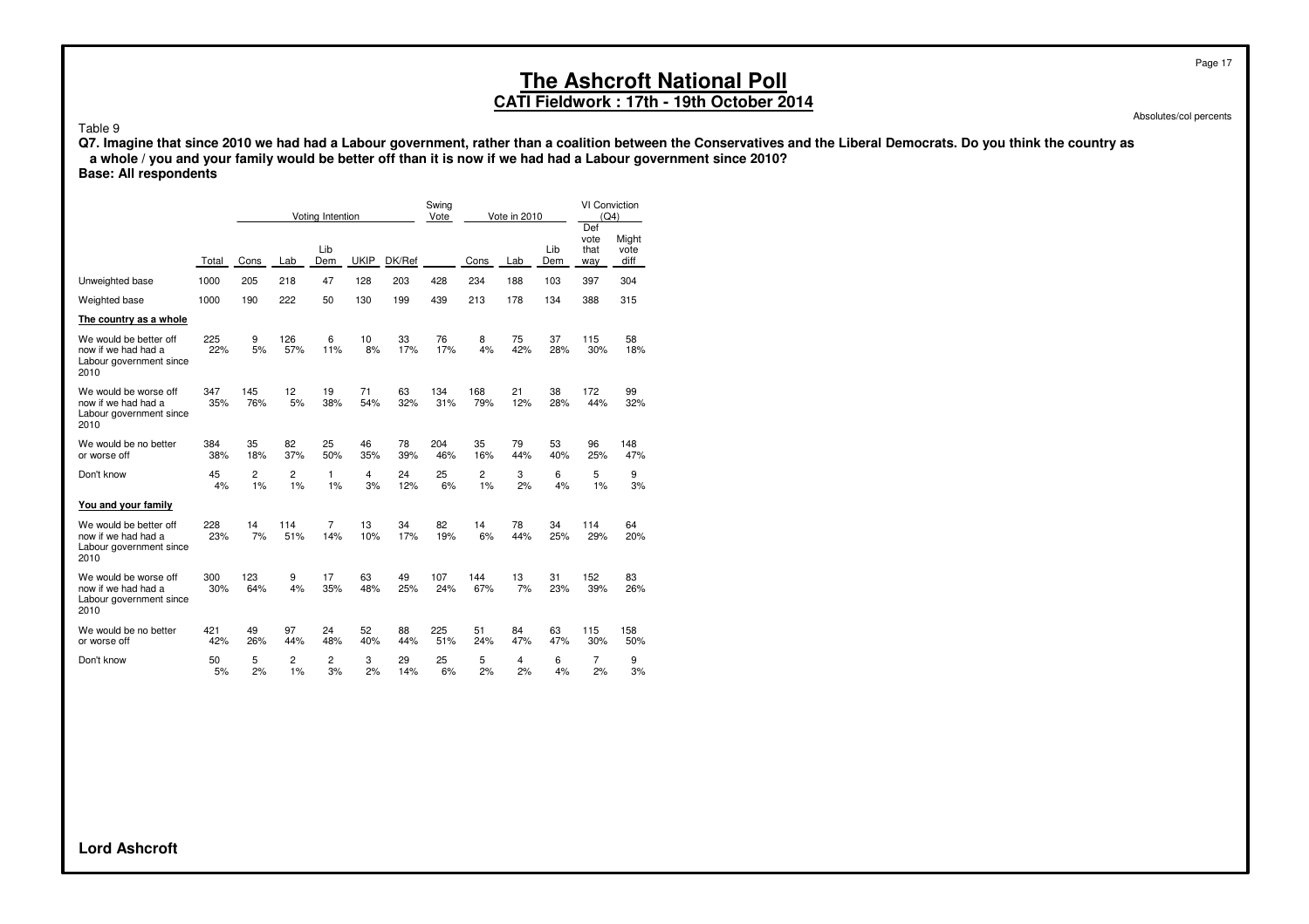### **CATI Fieldwork : 17th - 19th October 2014**

Absolutes/col percents

#### Table 9

**Q7. Imagine that since 2010 we had had a Labour government, rather than a coalition between the Conservatives and the Liberal Democrats. Do you think the country as a whole / you and your family would be better off than it is now if we had had a Labour government since 2010? Base: All respondents**

|                                                                                  |            |                      |                      | Voting Intention      |             |           | Swing<br>Vote |            | Vote in 2010 |            | <b>VI Conviction</b><br>(Q4)<br>Def |                       |
|----------------------------------------------------------------------------------|------------|----------------------|----------------------|-----------------------|-------------|-----------|---------------|------------|--------------|------------|-------------------------------------|-----------------------|
|                                                                                  | Total      | Cons                 | Lab                  | Lib<br>Dem            | <b>UKIP</b> | DK/Ref    |               | Cons       | Lab          | Lib<br>Dem | vote<br>that<br>way                 | Might<br>vote<br>diff |
| Unweighted base                                                                  | 1000       | 205                  | 218                  | 47                    | 128         | 203       | 428           | 234        | 188          | 103        | 397                                 | 304                   |
| Weighted base                                                                    | 1000       | 190                  | 222                  | 50                    | 130         | 199       | 439           | 213        | 178          | 134        | 388                                 | 315                   |
| The country as a whole                                                           |            |                      |                      |                       |             |           |               |            |              |            |                                     |                       |
| We would be better off<br>now if we had had a<br>Labour government since<br>2010 | 225<br>22% | 9<br>5%              | 126<br>57%           | 6<br>11%              | 10<br>8%    | 33<br>17% | 76<br>17%     | 8<br>4%    | 75<br>42%    | 37<br>28%  | 115<br>30%                          | 58<br>18%             |
| We would be worse off<br>now if we had had a<br>Labour government since<br>2010  | 347<br>35% | 145<br>76%           | 12<br>5%             | 19<br>38%             | 71<br>54%   | 63<br>32% | 134<br>31%    | 168<br>79% | 21<br>12%    | 38<br>28%  | 172<br>44%                          | 99<br>32%             |
| We would be no better<br>or worse off                                            | 384<br>38% | 35<br>18%            | 82<br>37%            | 25<br>50%             | 46<br>35%   | 78<br>39% | 204<br>46%    | 35<br>16%  | 79<br>44%    | 53<br>40%  | 96<br>25%                           | 148<br>47%            |
| Don't know                                                                       | 45<br>4%   | $\overline{c}$<br>1% | $\overline{2}$<br>1% | 1<br>1%               | 4<br>3%     | 24<br>12% | 25<br>6%      | 2<br>1%    | 3<br>2%      | 6<br>4%    | 5<br>1%                             | 9<br>3%               |
| You and your family                                                              |            |                      |                      |                       |             |           |               |            |              |            |                                     |                       |
| We would be better off<br>now if we had had a<br>Labour government since<br>2010 | 228<br>23% | 14<br>7%             | 114<br>51%           | $\overline{7}$<br>14% | 13<br>10%   | 34<br>17% | 82<br>19%     | 14<br>6%   | 78<br>44%    | 34<br>25%  | 114<br>29%                          | 64<br>20%             |
| We would be worse off<br>now if we had had a<br>Labour government since<br>2010  | 300<br>30% | 123<br>64%           | 9<br>4%              | 17<br>35%             | 63<br>48%   | 49<br>25% | 107<br>24%    | 144<br>67% | 13<br>7%     | 31<br>23%  | 152<br>39%                          | 83<br>26%             |
| We would be no better<br>or worse off                                            | 421<br>42% | 49<br>26%            | 97<br>44%            | 24<br>48%             | 52<br>40%   | 88<br>44% | 225<br>51%    | 51<br>24%  | 84<br>47%    | 63<br>47%  | 115<br>30%                          | 158<br>50%            |
| Don't know                                                                       | 50<br>5%   | 5<br>2%              | 2<br>$1\%$           | $\overline{2}$<br>3%  | 3<br>2%     | 29<br>14% | 25<br>6%      | 5<br>2%    | 4<br>2%      | 6<br>4%    | 7<br>2%                             | 9<br>3%               |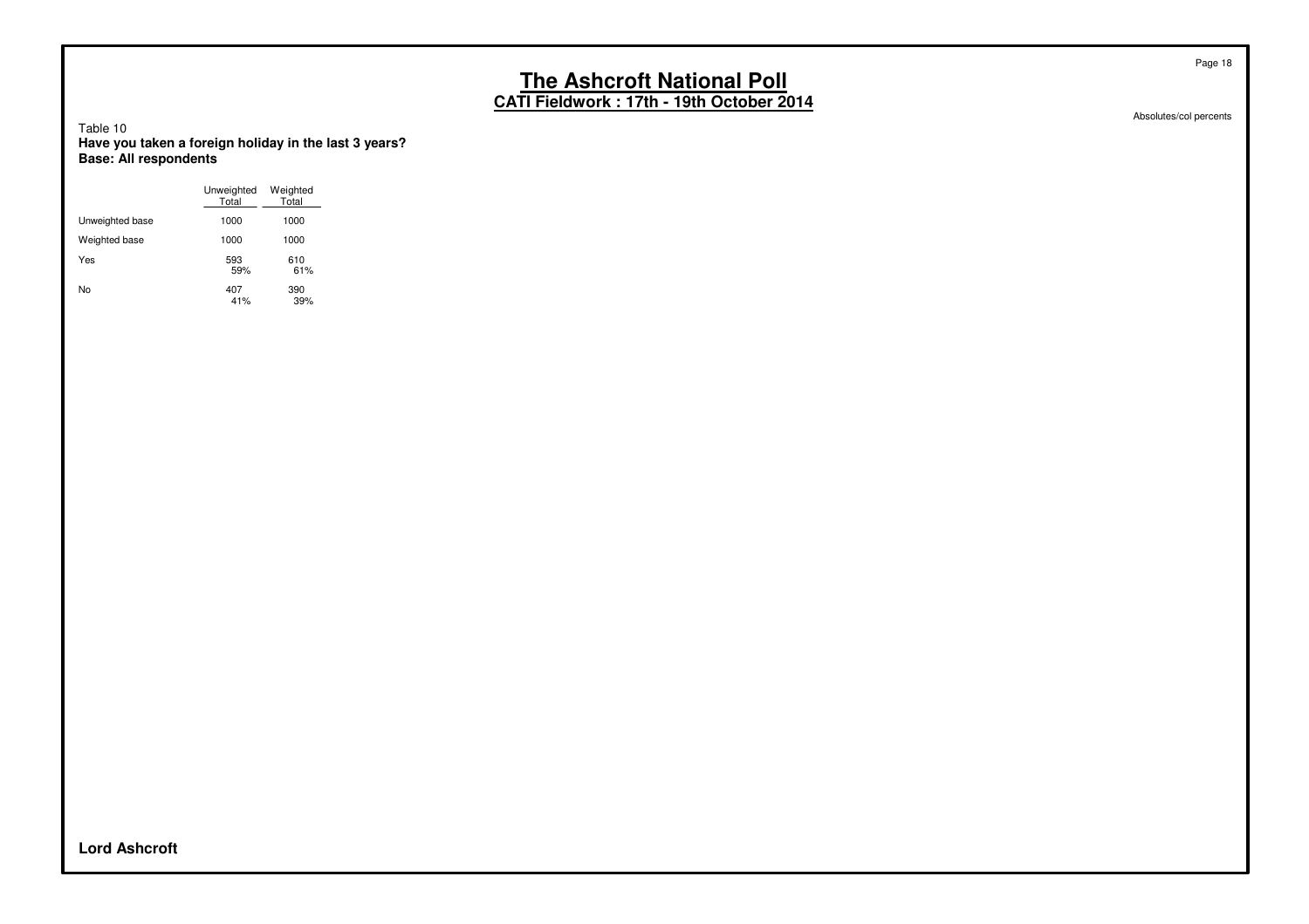**CATI Fieldwork : 17th - 19th October 2014**

Absolutes/col percents

Page 18

Table 10 **Have you taken a foreign holiday in the last 3 years? Base: All respondents**

|                 | Unweighted<br>Total | Weighted<br>Total |
|-----------------|---------------------|-------------------|
| Unweighted base | 1000                | 1000              |
| Weighted base   | 1000                | 1000              |
| Yes             | 593<br>59%          | 610<br>61%        |
| No              | 407<br>41%          | 390<br>39%        |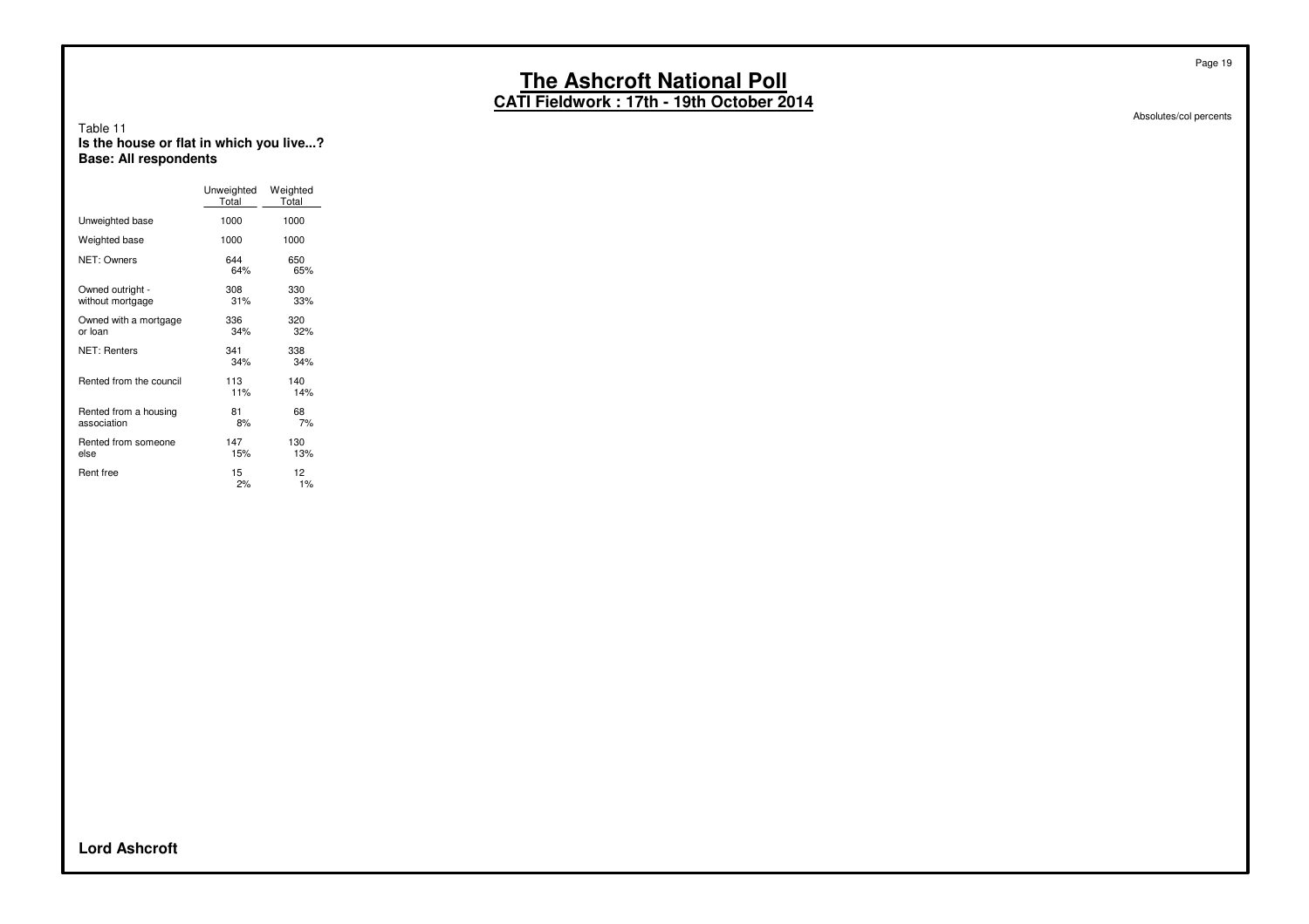**CATI Fieldwork : 17th - 19th October 2014**

#### Table 11 **Is the house or flat in which you live...? Base: All respondents**

|                                      | Unweighted<br>Total | Weighted<br>Total |
|--------------------------------------|---------------------|-------------------|
| Unweighted base                      | 1000                | 1000              |
| Weighted base                        | 1000                | 1000              |
| NET: Owners                          | 644<br>64%          | 650<br>65%        |
| Owned outright -<br>without mortgage | 308<br>31%          | 330<br>33%        |
| Owned with a mortgage<br>or loan     | 336<br>34%          | 320<br>32%        |
| <b>NET: Renters</b>                  | 341<br>34%          | 338<br>34%        |
| Rented from the council              | 113<br>11%          | 140<br>14%        |
| Rented from a housing<br>association | 81<br>8%            | 68<br>7%          |
| Rented from someone<br>else          | 147<br>15%          | 130<br>13%        |
| Rent free                            | 15<br>2%            | 12<br>1%          |

Absolutes/col percents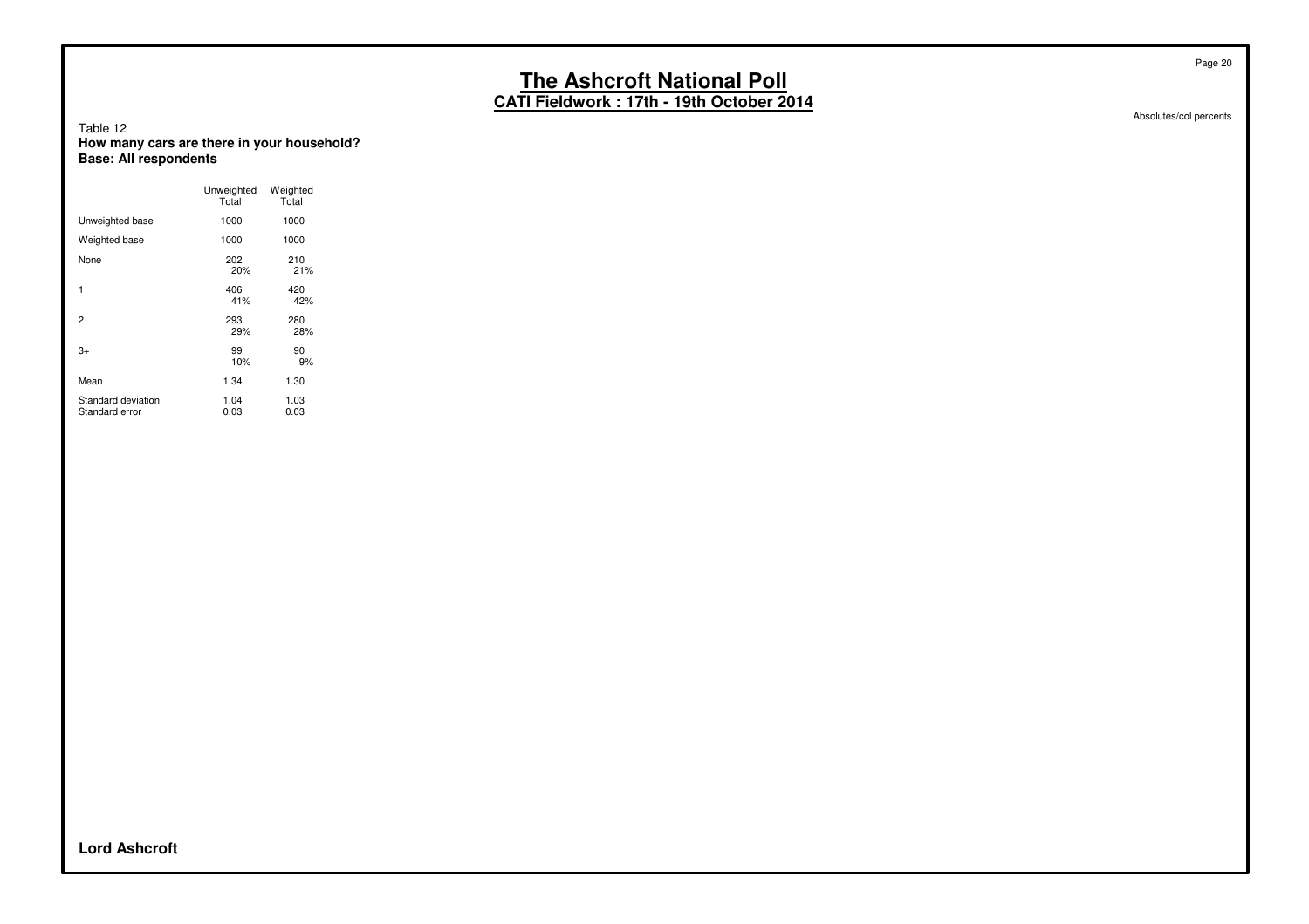**CATI Fieldwork : 17th - 19th October 2014**

Absolutes/col percents

#### Table 12 **How many cars are there in your household? Base: All respondents**

|                                      | Unweighted<br>Total | Weighted<br>Total |
|--------------------------------------|---------------------|-------------------|
| Unweighted base                      | 1000                | 1000              |
| Weighted base                        | 1000                | 1000              |
| None                                 | 202<br>20%          | 210<br>21%        |
| 1                                    | 406<br>41%          | 420<br>42%        |
| 2                                    | 293<br>29%          | 280<br>28%        |
| 3+                                   | 99<br>10%           | 90<br>9%          |
| Mean                                 | 1.34                | 1.30              |
| Standard deviation<br>Standard error | 1.04<br>0.03        | 1.03<br>0.03      |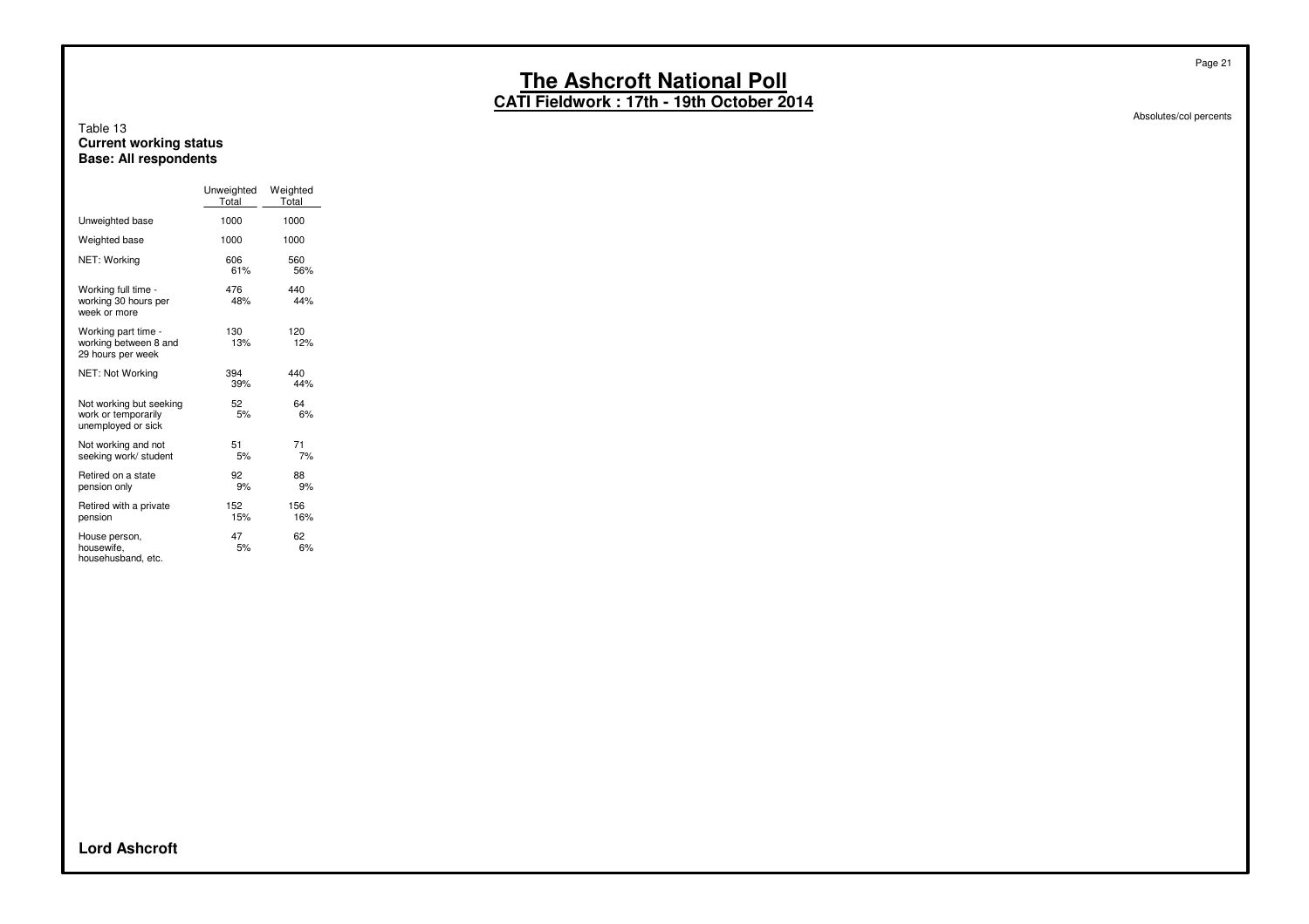**CATI Fieldwork : 17th - 19th October 2014**

#### Table 13 **Current working status Base: All respondents**

|                                                                      | Unweighted<br>Total | Weighted<br>Total |
|----------------------------------------------------------------------|---------------------|-------------------|
| Unweighted base                                                      | 1000                | 1000              |
| Weighted base                                                        | 1000                | 1000              |
| NET: Working                                                         | 606<br>61%          | 560<br>56%        |
| Working full time -<br>working 30 hours per<br>week or more          | 476<br>48%          | 440<br>44%        |
| Working part time -<br>working between 8 and<br>29 hours per week    | 130<br>13%          | 120<br>12%        |
| NET: Not Working                                                     | 394<br>39%          | 440<br>44%        |
| Not working but seeking<br>work or temporarily<br>unemployed or sick | 52<br>5%            | 64<br>6%          |
| Not working and not<br>seeking work/ student                         | 51<br>5%            | 71<br>7%          |
| Retired on a state<br>pension only                                   | 92<br>9%            | 88<br>9%          |
| Retired with a private<br>pension                                    | 152<br>15%          | 156<br>16%        |
| House person,<br>housewife,<br>househusband, etc.                    | 47<br>5%            | 62<br>6%          |

Absolutes/col percents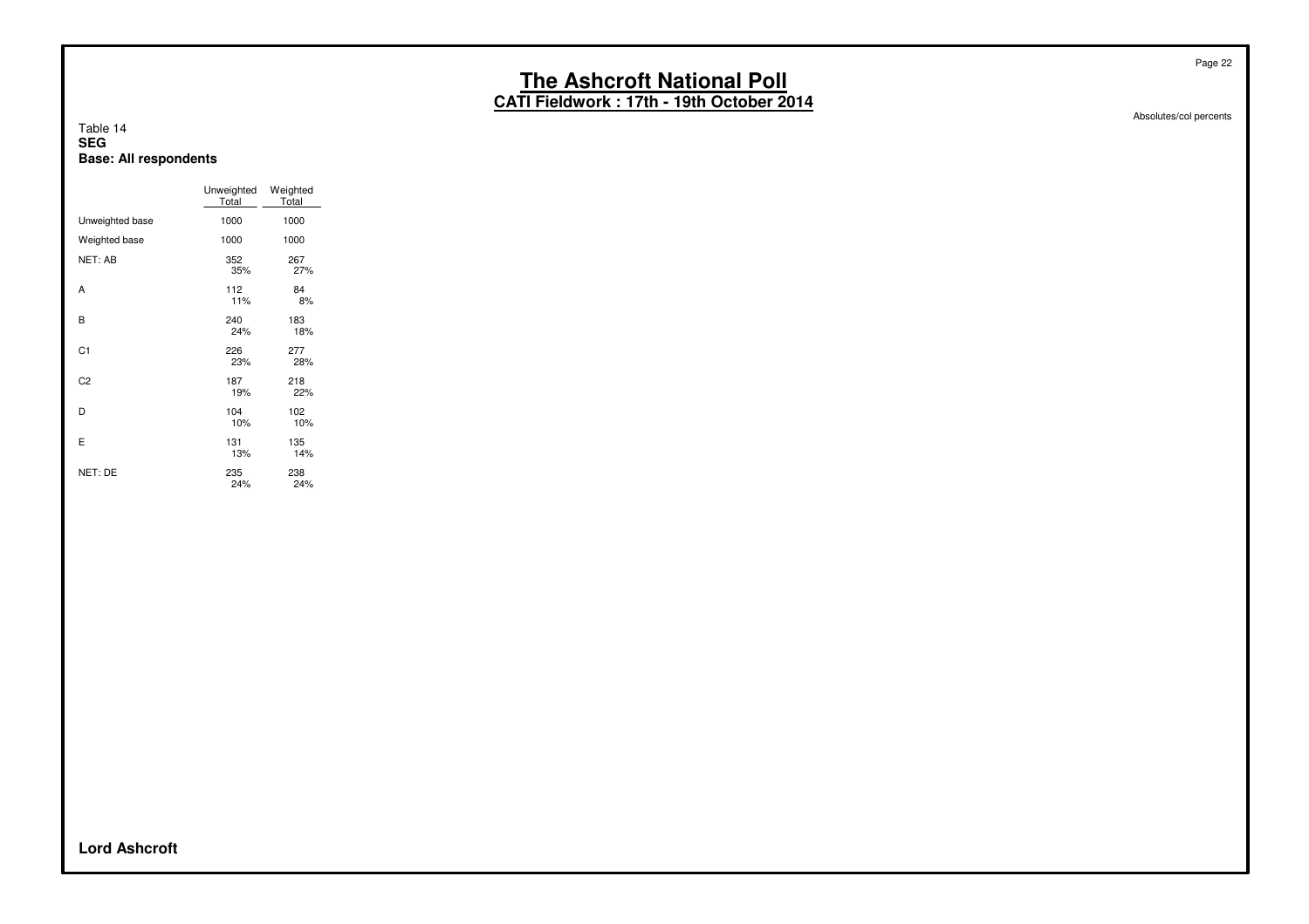**CATI Fieldwork : 17th - 19th October 2014**

#### Table 14 **SEG Base: All respondents**

|                 | Unweighted<br>Total | Weighted<br>Total |
|-----------------|---------------------|-------------------|
| Unweighted base | 1000                | 1000              |
| Weighted base   | 1000                | 1000              |
| NET: AB         | 352<br>35%          | 267<br>27%        |
| A               | 112<br>11%          | 84<br>8%          |
| B               | 240<br>24%          | 183<br>18%        |
| C1              | 226<br>23%          | 277<br>28%        |
| C <sub>2</sub>  | 187<br>19%          | 218<br>22%        |
| D               | 104<br>10%          | 102<br>10%        |
| E               | 131<br>13%          | 135<br>14%        |
| NET: DE         | 235<br>24%          | 238<br>24%        |

Absolutes/col percents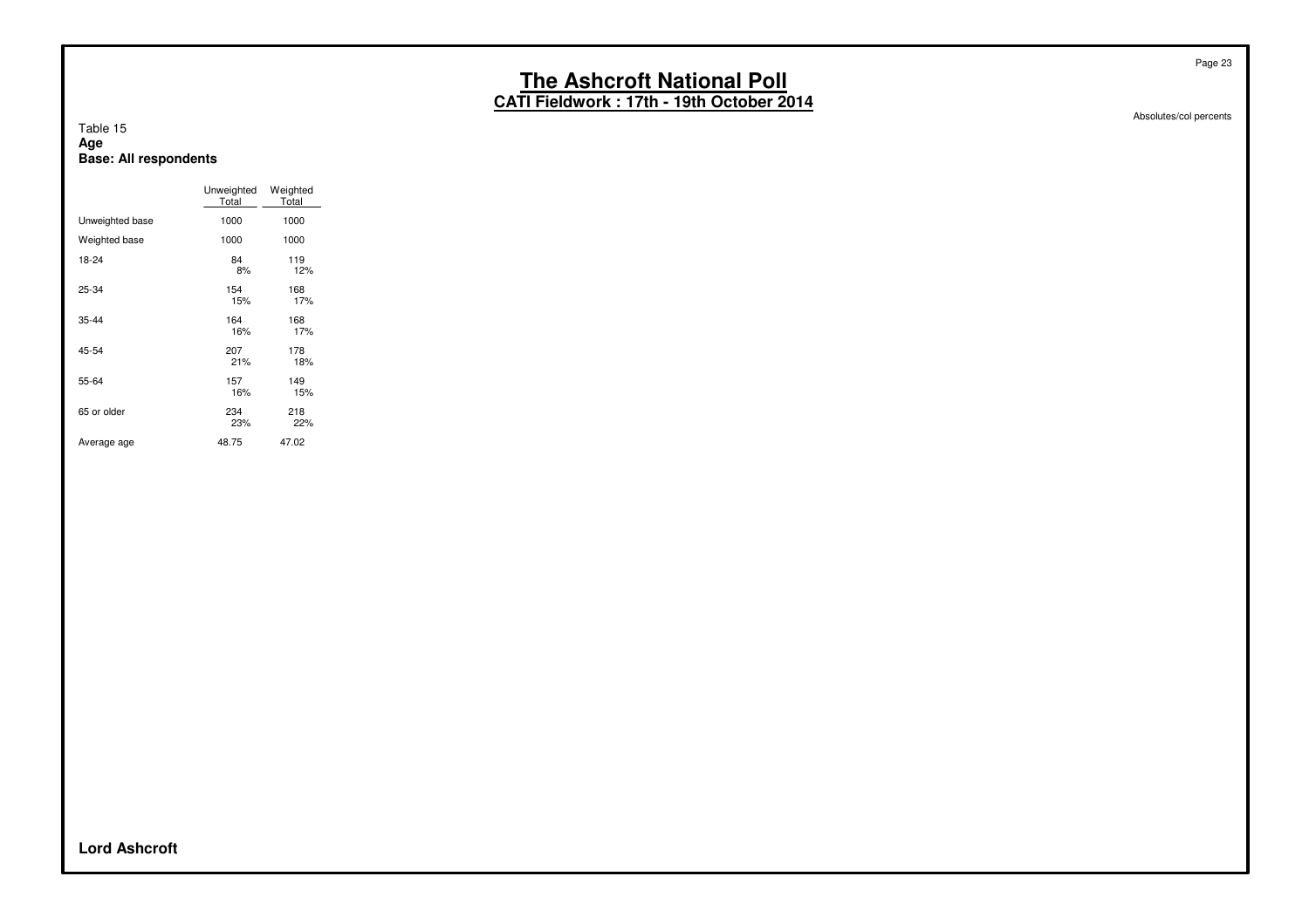**CATI Fieldwork : 17th - 19th October 2014**

Table 15 **Age Base: All respondents**

|                 | Unweighted<br>Total | Weighted<br>Total |
|-----------------|---------------------|-------------------|
| Unweighted base | 1000                | 1000              |
| Weighted base   | 1000                | 1000              |
| 18-24           | 84<br>8%            | 119<br>12%        |
| 25-34           | 154<br>15%          | 168<br>17%        |
| 35-44           | 164<br>16%          | 168<br>17%        |
| 45-54           | 207<br>21%          | 178<br>18%        |
| 55-64           | 157<br>16%          | 149<br>15%        |
| 65 or older     | 234<br>23%          | 218<br>22%        |
| Average age     | 48.75               | 47.02             |

Absolutes/col percents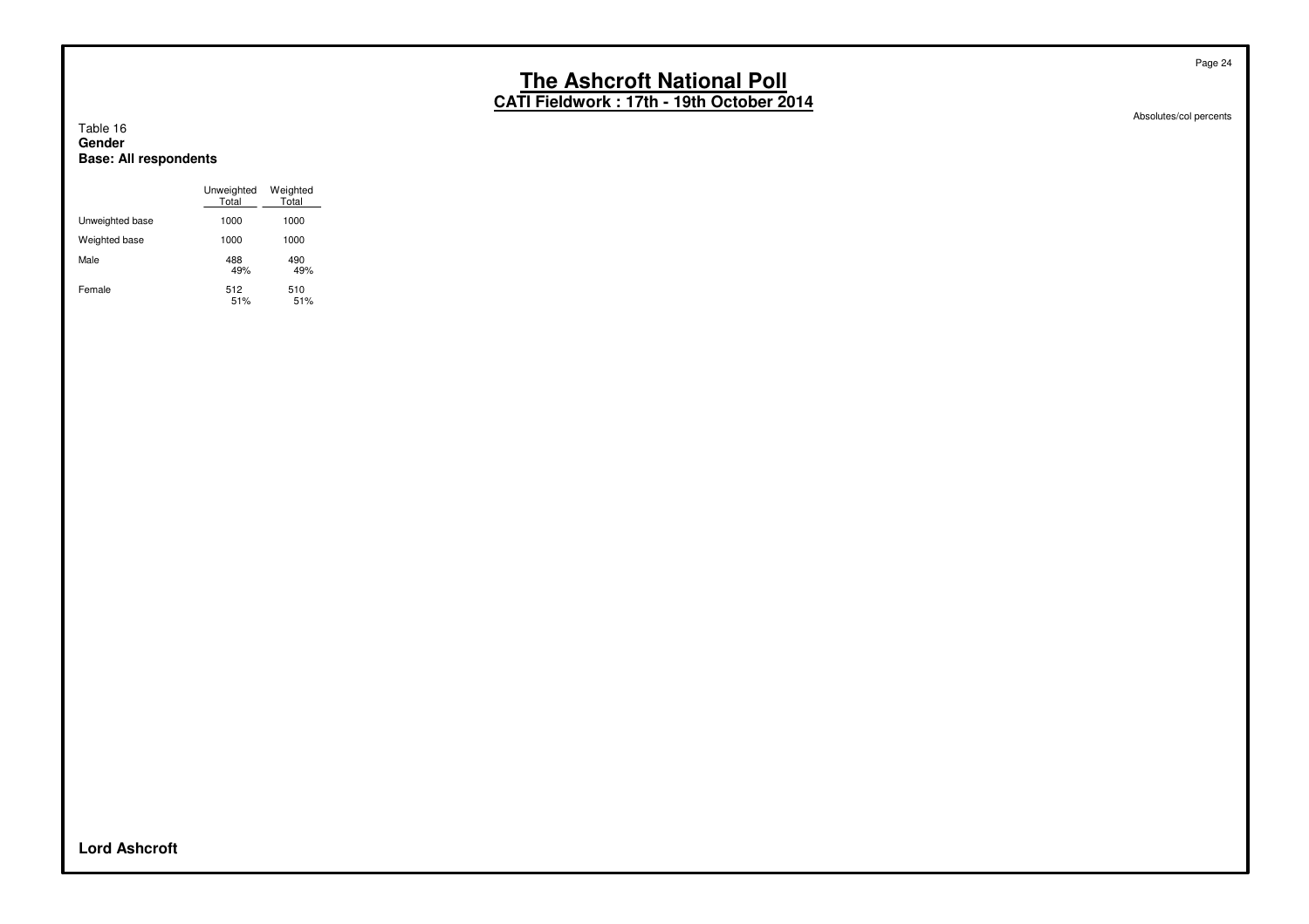**CATI Fieldwork : 17th - 19th October 2014**

#### Table 16 **Gender Base: All respondents**

|                 | Unweighted<br>Total | Weighted<br>Total |
|-----------------|---------------------|-------------------|
| Unweighted base | 1000                | 1000              |
| Weighted base   | 1000                | 1000              |
| Male            | 488<br>49%          | 490<br>49%        |
| Female          | 512<br>51%          | 510<br>51%        |

Absolutes/col percents

**Lord Ashcroft**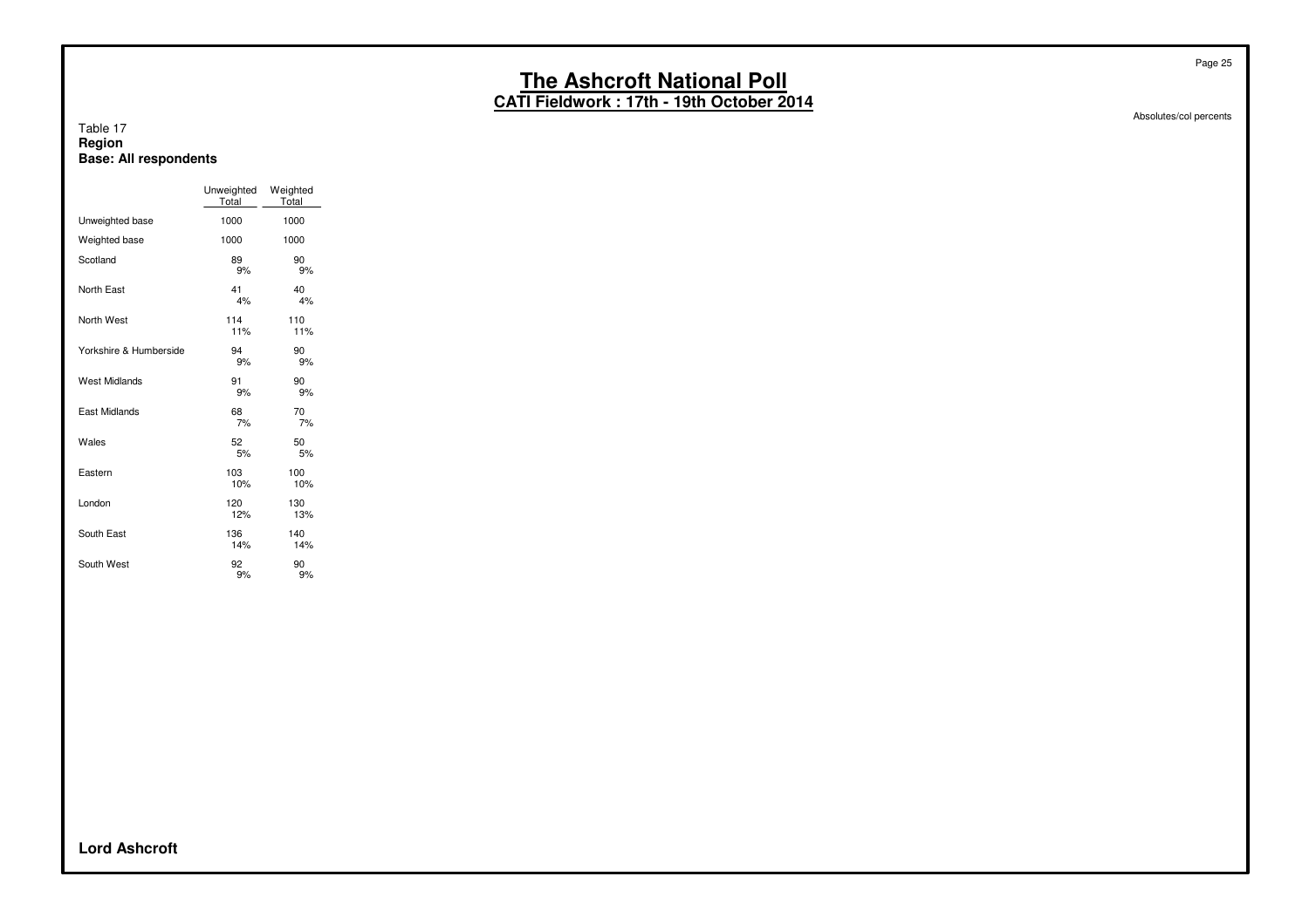**CATI Fieldwork : 17th - 19th October 2014**

#### Table 17 **Region Base: All respondents**

|                        | Unweighted<br>Total | Weighted<br>Total |
|------------------------|---------------------|-------------------|
| Unweighted base        | 1000                | 1000              |
| Weighted base          | 1000                | 1000              |
| Scotland               | 89<br>9%            | 90<br>9%          |
| North East             | 41<br>4%            | 40<br>4%          |
| North West             | 114<br>11%          | 110<br>11%        |
| Yorkshire & Humberside | 94<br>9%            | 90<br>9%          |
| <b>West Midlands</b>   | 91<br>9%            | 90<br>9%          |
| East Midlands          | 68<br>7%            | 70<br>7%          |
| Wales                  | 52<br>5%            | 50<br>5%          |
| Eastern                | 103<br>10%          | 100<br>10%        |
| London                 | 120<br>12%          | 130<br>13%        |
| South East             | 136<br>14%          | 140<br>14%        |
| South West             | 92<br>9%            | 90<br>9%          |

Absolutes/col percents